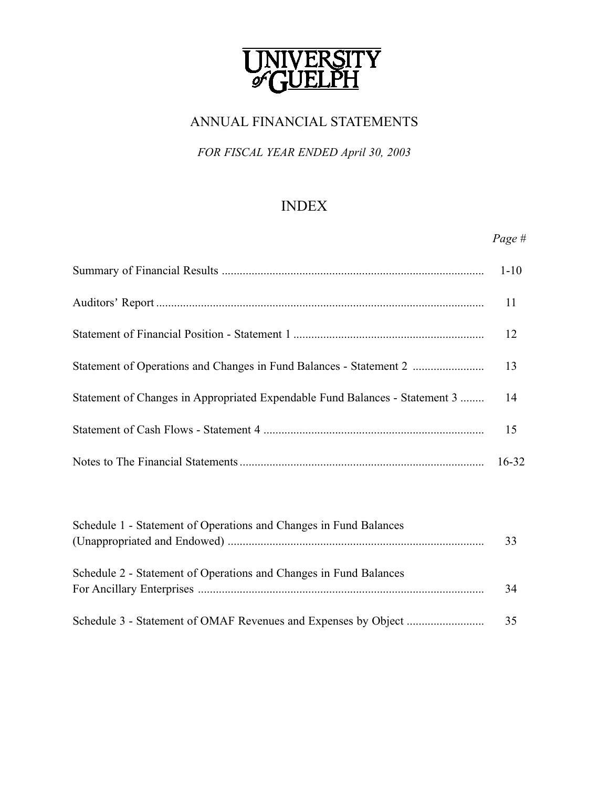

# ANNUAL FINANCIAL STATEMENTS

# *FOR FISCAL YEAR ENDED April 30, 2003*

# INDEX

*Page #*

|                                                                                 | 11 |
|---------------------------------------------------------------------------------|----|
|                                                                                 | 12 |
|                                                                                 |    |
| Statement of Changes in Appropriated Expendable Fund Balances - Statement 3  14 |    |
|                                                                                 | 15 |
|                                                                                 |    |

| Schedule 1 - Statement of Operations and Changes in Fund Balances | 33 |
|-------------------------------------------------------------------|----|
| Schedule 2 - Statement of Operations and Changes in Fund Balances | 34 |
|                                                                   | 35 |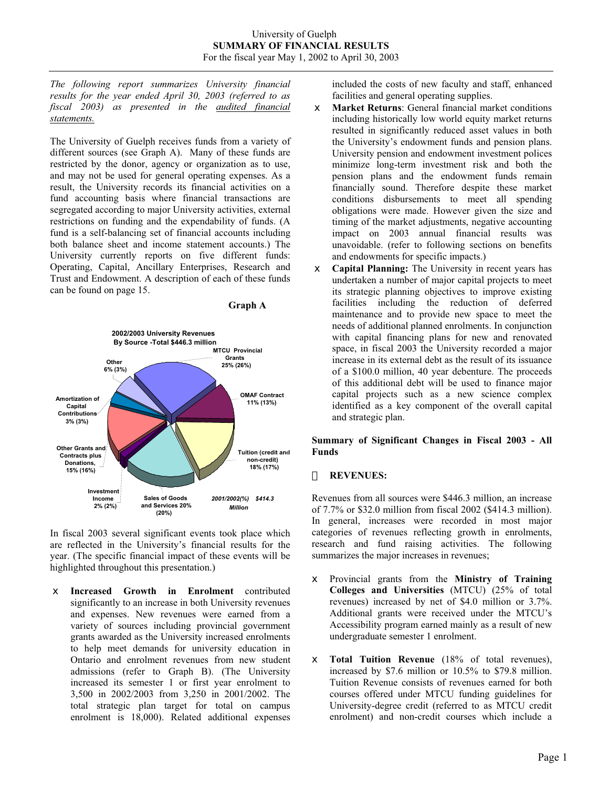*The following report summarizes University financial results for the year ended April 30, 2003 (referred to as fiscal 2003) as presented in the audited financial statements.*

The University of Guelph receives funds from a variety of different sources (see Graph A). Many of these funds are restricted by the donor, agency or organization as to use, and may not be used for general operating expenses. As a result, the University records its financial activities on a fund accounting basis where financial transactions are segregated according to major University activities, external restrictions on funding and the expendability of funds. (A fund is a self-balancing set of financial accounts including both balance sheet and income statement accounts.) The University currently reports on five different funds: Operating, Capital, Ancillary Enterprises, Research and Trust and Endowment. A description of each of these funds can be found on page 15.





In fiscal 2003 several significant events took place which are reflected in the University's financial results for the year. (The specific financial impact of these events will be highlighted throughout this presentation.)

x **Increased Growth in Enrolment** contributed significantly to an increase in both University revenues and expenses. New revenues were earned from a variety of sources including provincial government grants awarded as the University increased enrolments to help meet demands for university education in Ontario and enrolment revenues from new student admissions (refer to Graph B). (The University increased its semester 1 or first year enrolment to 3,500 in 2002/2003 from 3,250 in 2001/2002. The total strategic plan target for total on campus enrolment is 18,000). Related additional expenses

included the costs of new faculty and staff, enhanced facilities and general operating supplies.

- $\neq$  **Market Returns**: General financial market conditions including historically low world equity market returns resulted in significantly reduced asset values in both the University's endowment funds and pension plans. University pension and endowment investment polices minimize long-term investment risk and both the pension plans and the endowment funds remain financially sound. Therefore despite these market conditions disbursements to meet all spending obligations were made. However given the size and timing of the market adjustments, negative accounting impact on 2003 annual financial results was unavoidable. (refer to following sections on benefits and endowments for specific impacts.)
- $\epsilon$  **Capital Planning:** The University in recent years has undertaken a number of major capital projects to meet its strategic planning objectives to improve existing facilities including the reduction of deferred maintenance and to provide new space to meet the needs of additional planned enrolments. In conjunction with capital financing plans for new and renovated space, in fiscal 2003 the University recorded a major increase in its external debt as the result of its issuance of a \$100.0 million, 40 year debenture. The proceeds of this additional debt will be used to finance major capital projects such as a new science complex identified as a key component of the overall capital and strategic plan.

# **Summary of Significant Changes in Fiscal 2003 - All Funds**

#### **REVENUES:**

Revenues from all sources were \$446.3 million, an increase of 7.7% or \$32.0 million from fiscal 2002 (\$414.3 million). In general, increases were recorded in most major categories of revenues reflecting growth in enrolments, research and fund raising activities. The following summarizes the major increases in revenues;

- $\neq$  Provincial grants from the **Ministry of Training Colleges and Universities** (MTCU) (25% of total revenues) increased by net of \$4.0 million or 3.7%. Additional grants were received under the MTCU's Accessibility program earned mainly as a result of new undergraduate semester 1 enrolment.
- $\epsilon$  **Total Tuition Revenue** (18% of total revenues), increased by \$7.6 million or 10.5% to \$79.8 million. Tuition Revenue consists of revenues earned for both courses offered under MTCU funding guidelines for University-degree credit (referred to as MTCU credit enrolment) and non-credit courses which include a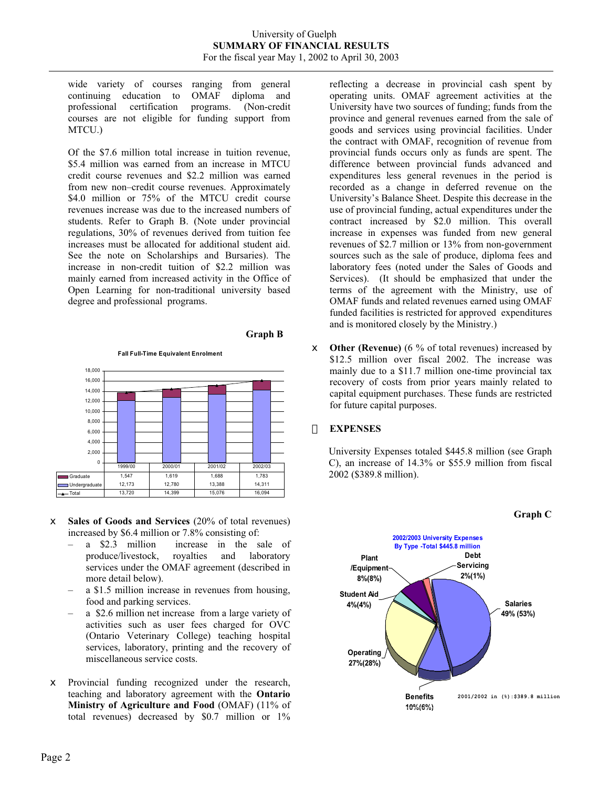wide variety of courses ranging from general continuing education to OMAF diploma and professional certification programs. (Non-credit courses are not eligible for funding support from MTCU.)

Of the \$7.6 million total increase in tuition revenue, \$5.4 million was earned from an increase in MTCU credit course revenues and \$2.2 million was earned from new non–credit course revenues. Approximately \$4.0 million or 75% of the MTCU credit course revenues increase was due to the increased numbers of students. Refer to Graph B. (Note under provincial regulations, 30% of revenues derived from tuition fee increases must be allocated for additional student aid. See the note on Scholarships and Bursaries). The increase in non-credit tuition of \$2.2 million was mainly earned from increased activity in the Office of Open Learning for non-traditional university based degree and professional programs.

#### **Graph B**

**Fall Full-Time Equivalent Enrolment**



- $\epsilon$  **Sales of Goods and Services** (20% of total revenues) increased by \$6.4 million or 7.8% consisting of:
	- a \$2.3 million increase in the sale of produce/livestock, royalties and laboratory services under the OMAF agreement (described in more detail below).
	- a \$1.5 million increase in revenues from housing, food and parking services.
	- a \$2.6 million net increase from a large variety of activities such as user fees charged for OVC (Ontario Veterinary College) teaching hospital services, laboratory, printing and the recovery of miscellaneous service costs.
- $\epsilon$  Provincial funding recognized under the research, teaching and laboratory agreement with the **Ontario Ministry of Agriculture and Food** (OMAF) (11% of total revenues) decreased by \$0.7 million or 1%

reflecting a decrease in provincial cash spent by operating units. OMAF agreement activities at the University have two sources of funding; funds from the province and general revenues earned from the sale of goods and services using provincial facilities. Under the contract with OMAF, recognition of revenue from provincial funds occurs only as funds are spent. The difference between provincial funds advanced and expenditures less general revenues in the period is recorded as a change in deferred revenue on the University's Balance Sheet. Despite this decrease in the use of provincial funding, actual expenditures under the contract increased by \$2.0 million. This overall increase in expenses was funded from new general revenues of \$2.7 million or 13% from non-government sources such as the sale of produce, diploma fees and laboratory fees (noted under the Sales of Goods and Services). (It should be emphasized that under the terms of the agreement with the Ministry, use of OMAF funds and related revenues earned using OMAF funded facilities is restricted for approved expenditures and is monitored closely by the Ministry.)

 $\epsilon$  **Other (Revenue)** (6 % of total revenues) increased by \$12.5 million over fiscal 2002. The increase was mainly due to a \$11.7 million one-time provincial tax recovery of costs from prior years mainly related to capital equipment purchases. These funds are restricted for future capital purposes.

#### **EXPENSES**

University Expenses totaled \$445.8 million (see Graph C), an increase of 14.3% or \$55.9 million from fiscal 2002 (\$389.8 million).



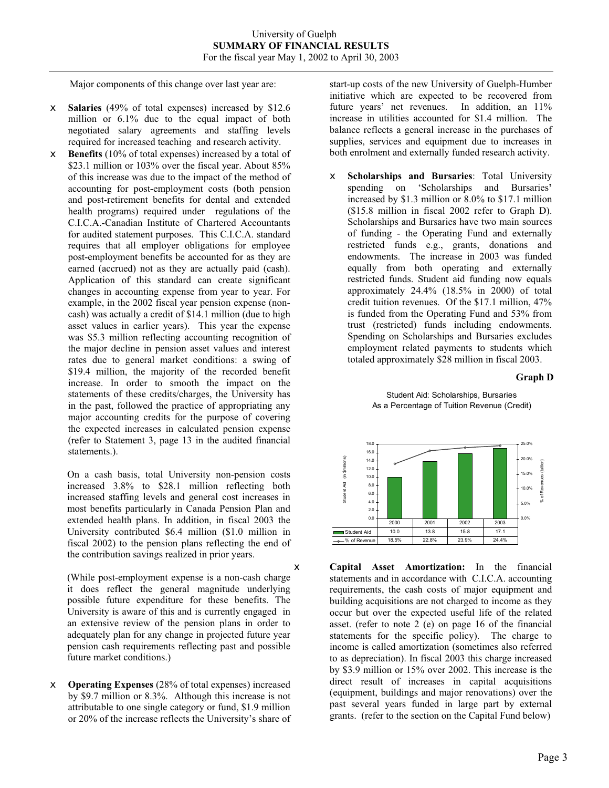Major components of this change over last year are:

- $\le$  **Salaries** (49% of total expenses) increased by \$12.6 million or 6.1% due to the equal impact of both negotiated salary agreements and staffing levels required for increased teaching and research activity.
- **Benefits** (10% of total expenses) increased by a total of \$23.1 million or 103% over the fiscal year. About 85% of this increase was due to the impact of the method of accounting for post-employment costs (both pension and post-retirement benefits for dental and extended health programs) required under regulations of the C.I.C.A.-Canadian Institute of Chartered Accountants for audited statement purposes. This C.I.C.A. standard requires that all employer obligations for employee post-employment benefits be accounted for as they are earned (accrued) not as they are actually paid (cash). Application of this standard can create significant changes in accounting expense from year to year. For example, in the 2002 fiscal year pension expense (noncash) was actually a credit of \$14.1 million (due to high asset values in earlier years). This year the expense was \$5.3 million reflecting accounting recognition of the major decline in pension asset values and interest rates due to general market conditions: a swing of \$19.4 million, the majority of the recorded benefit increase. In order to smooth the impact on the statements of these credits/charges, the University has in the past, followed the practice of appropriating any major accounting credits for the purpose of covering the expected increases in calculated pension expense (refer to Statement 3, page 13 in the audited financial statements.).

On a cash basis, total University non-pension costs increased 3.8% to \$28.1 million reflecting both increased staffing levels and general cost increases in most benefits particularly in Canada Pension Plan and extended health plans. In addition, in fiscal 2003 the University contributed \$6.4 million (\$1.0 million in fiscal 2002) to the pension plans reflecting the end of the contribution savings realized in prior years.

(While post-employment expense is a non-cash charge it does reflect the general magnitude underlying possible future expenditure for these benefits. The University is aware of this and is currently engaged in an extensive review of the pension plans in order to adequately plan for any change in projected future year pension cash requirements reflecting past and possible future market conditions.)

 $\epsilon$  **Operating Expenses** (28% of total expenses) increased by \$9.7 million or 8.3%. Although this increase is not attributable to one single category or fund, \$1.9 million or 20% of the increase reflects the University's share of start-up costs of the new University of Guelph-Humber initiative which are expected to be recovered from future years' net revenues. In addition, an 11% increase in utilities accounted for \$1.4 million. The balance reflects a general increase in the purchases of supplies, services and equipment due to increases in both enrolment and externally funded research activity.

x **Scholarships and Bursaries**: Total University spending on 'Scholarships and Bursaries**'**  increased by \$1.3 million or 8.0% to \$17.1 million (\$15.8 million in fiscal 2002 refer to Graph D). Scholarships and Bursaries have two main sources of funding - the Operating Fund and externally restricted funds e.g., grants, donations and endowments. The increase in 2003 was funded equally from both operating and externally restricted funds. Student aid funding now equals approximately 24.4% (18.5% in 2000) of total credit tuition revenues. Of the \$17.1 million, 47% is funded from the Operating Fund and 53% from trust (restricted) funds including endowments. Spending on Scholarships and Bursaries excludes employment related payments to students which totaled approximately \$28 million in fiscal 2003.

#### **Graph D**





 $\epsilon$  **Capital Asset Amortization:** In the financial statements and in accordance with C.I.C.A. accounting requirements, the cash costs of major equipment and building acquisitions are not charged to income as they occur but over the expected useful life of the related asset. (refer to note 2 (e) on page 16 of the financial statements for the specific policy). The charge to income is called amortization (sometimes also referred to as depreciation). In fiscal 2003 this charge increased by \$3.9 million or 15% over 2002. This increase is the direct result of increases in capital acquisitions (equipment, buildings and major renovations) over the past several years funded in large part by external grants. (refer to the section on the Capital Fund below)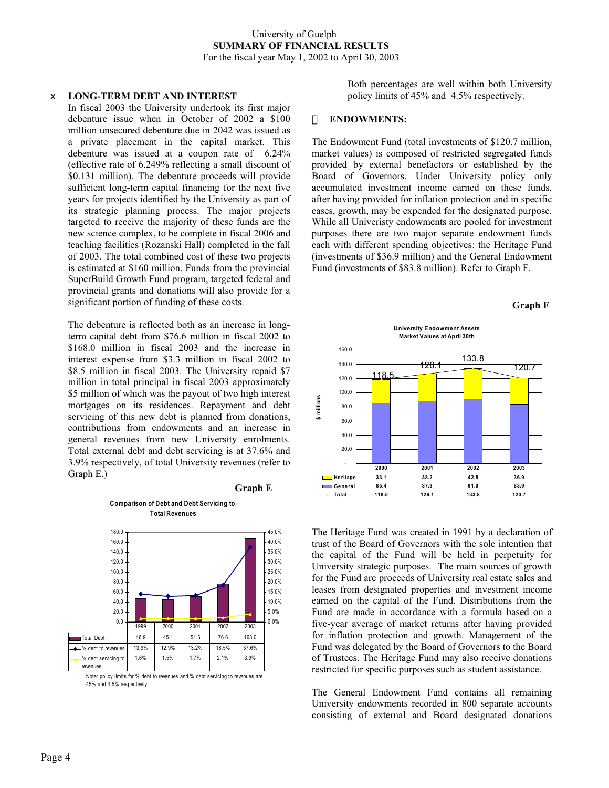#### x **LONG-TERM DEBT AND INTEREST**

In fiscal 2003 the University undertook its first major debenture issue when in October of 2002 a \$100 million unsecured debenture due in 2042 was issued as a private placement in the capital market. This debenture was issued at a coupon rate of 6.24% (effective rate of 6.249% reflecting a small discount of \$0.131 million). The debenture proceeds will provide sufficient long-term capital financing for the next five years for projects identified by the University as part of its strategic planning process. The major projects targeted to receive the majority of these funds are the new science complex, to be complete in fiscal 2006 and teaching facilities (Rozanski Hall) completed in the fall of 2003. The total combined cost of these two projects is estimated at \$160 million. Funds from the provincial SuperBuild Growth Fund program, targeted federal and provincial grants and donations will also provide for a significant portion of funding of these costs.

The debenture is reflected both as an increase in longterm capital debt from \$76.6 million in fiscal 2002 to \$168.0 million in fiscal 2003 and the increase in interest expense from \$3.3 million in fiscal 2002 to \$8.5 million in fiscal 2003. The University repaid \$7 million in total principal in fiscal 2003 approximately \$5 million of which was the payout of two high interest mortgages on its residences. Repayment and debt servicing of this new debt is planned from donations, contributions from endowments and an increase in general revenues from new University enrolments. Total external debt and debt servicing is at 37.6% and 3.9% respectively, of total University revenues (refer to Graph E.)

#### **Graph E**

**Comparison of Debt and Debt Servicing to Total Revenues**



Note: policy limits for % debt to revenues and % debt servicing to revenues are 45% and 4.5% respectively.

Both percentages are well within both University policy limits of 45% and 4.5% respectively.

#### **ENDOWMENTS:**

The Endowment Fund (total investments of \$120.7 million, market values) is composed of restricted segregated funds provided by external benefactors or established by the Board of Governors. Under University policy only accumulated investment income earned on these funds, after having provided for inflation protection and in specific cases, growth, may be expended for the designated purpose. While all Univeristy endowments are pooled for investment purposes there are two major separate endowment funds each with different spending objectives: the Heritage Fund (investments of \$36.9 million) and the General Endowment Fund (investments of \$83.8 million). Refer to Graph F.







The Heritage Fund was created in 1991 by a declaration of trust of the Board of Governors with the sole intention that the capital of the Fund will be held in perpetuity for University strategic purposes. The main sources of growth for the Fund are proceeds of University real estate sales and leases from designated properties and investment income earned on the capital of the Fund. Distributions from the Fund are made in accordance with a formula based on a five-year average of market returns after having provided for inflation protection and growth. Management of the Fund was delegated by the Board of Governors to the Board of Trustees. The Heritage Fund may also receive donations restricted for specific purposes such as student assistance.

The General Endowment Fund contains all remaining University endowments recorded in 800 separate accounts consisting of external and Board designated donations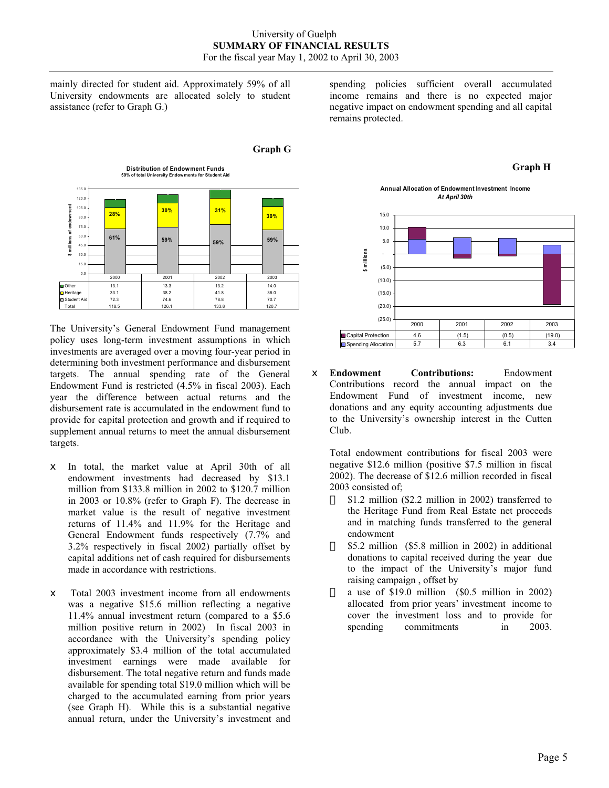mainly directed for student aid. Approximately 59% of all University endowments are allocated solely to student assistance (refer to Graph G.)



The University's General Endowment Fund management policy uses long-term investment assumptions in which investments are averaged over a moving four-year period in determining both investment performance and disbursement targets. The annual spending rate of the General Endowment Fund is restricted (4.5% in fiscal 2003). Each year the difference between actual returns and the disbursement rate is accumulated in the endowment fund to provide for capital protection and growth and if required to supplement annual returns to meet the annual disbursement targets.

- $\notin$  In total, the market value at April 30th of all endowment investments had decreased by \$13.1 million from \$133.8 million in 2002 to \$120.7 million in 2003 or 10.8% (refer to Graph F). The decrease in market value is the result of negative investment returns of 11.4% and 11.9% for the Heritage and General Endowment funds respectively (7.7% and 3.2% respectively in fiscal 2002) partially offset by capital additions net of cash required for disbursements made in accordance with restrictions.
- $\epsilon$  Total 2003 investment income from all endowments was a negative \$15.6 million reflecting a negative 11.4% annual investment return (compared to a \$5.6 million positive return in 2002) In fiscal 2003 in accordance with the University's spending policy approximately \$3.4 million of the total accumulated investment earnings were made available for disbursement. The total negative return and funds made available for spending total \$19.0 million which will be charged to the accumulated earning from prior years (see Graph H). While this is a substantial negative annual return, under the University's investment and

spending policies sufficient overall accumulated income remains and there is no expected major negative impact on endowment spending and all capital remains protected.

#### **Graph G**

**Annual Allocation of Endowment Investment Income** *At April 30th*

**Graph H**



x **Endowment Contributions:** Endowment Contributions record the annual impact on the Endowment Fund of investment income, new donations and any equity accounting adjustments due to the University's ownership interest in the Cutten Club.

Total endowment contributions for fiscal 2003 were negative \$12.6 million (positive \$7.5 million in fiscal 2002). The decrease of \$12.6 million recorded in fiscal 2003 consisted of;

- \$1.2 million (\$2.2 million in 2002) transferred to the Heritage Fund from Real Estate net proceeds and in matching funds transferred to the general endowment
- \$5.2 million (\$5.8 million in 2002) in additional donations to capital received during the year due to the impact of the University's major fund raising campaign , offset by
- a use of \$19.0 million (\$0.5 million in 2002) allocated from prior years' investment income to cover the investment loss and to provide for spending commitments in 2003.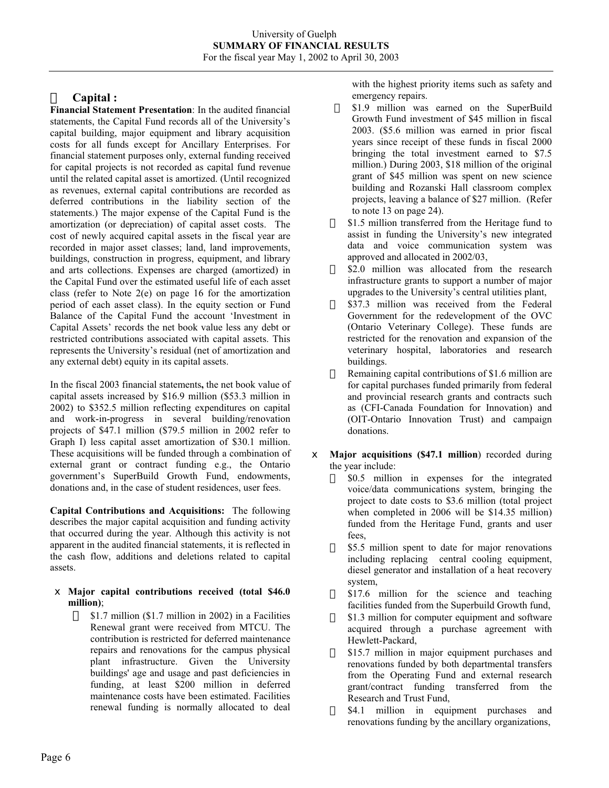# **Capital :**

**Financial Statement Presentation**: In the audited financial statements, the Capital Fund records all of the University's capital building, major equipment and library acquisition costs for all funds except for Ancillary Enterprises. For financial statement purposes only, external funding received for capital projects is not recorded as capital fund revenue until the related capital asset is amortized. (Until recognized as revenues, external capital contributions are recorded as deferred contributions in the liability section of the statements.) The major expense of the Capital Fund is the amortization (or depreciation) of capital asset costs. The cost of newly acquired capital assets in the fiscal year are recorded in major asset classes; land, land improvements, buildings, construction in progress, equipment, and library and arts collections. Expenses are charged (amortized) in the Capital Fund over the estimated useful life of each asset class (refer to Note 2(e) on page 16 for the amortization period of each asset class). In the equity section or Fund Balance of the Capital Fund the account 'Investment in Capital Assets' records the net book value less any debt or restricted contributions associated with capital assets. This represents the University's residual (net of amortization and any external debt) equity in its capital assets.

In the fiscal 2003 financial statements**,** the net book value of capital assets increased by \$16.9 million (\$53.3 million in 2002) to \$352.5 million reflecting expenditures on capital and work-in-progress in several building/renovation projects of \$47.1 million (\$79.5 million in 2002 refer to Graph I) less capital asset amortization of \$30.1 million. These acquisitions will be funded through a combination of external grant or contract funding e.g., the Ontario government's SuperBuild Growth Fund, endowments, donations and, in the case of student residences, user fees.

**Capital Contributions and Acquisitions:** The following describes the major capital acquisition and funding activity that occurred during the year. Although this activity is not apparent in the audited financial statements, it is reflected in the cash flow, additions and deletions related to capital assets.

#### x **Major capital contributions received (total \$46.0 million)**;

 \$1.7 million (\$1.7 million in 2002) in a Facilities Renewal grant were received from MTCU. The contribution is restricted for deferred maintenance repairs and renovations for the campus physical plant infrastructure. Given the University buildings' age and usage and past deficiencies in funding, at least \$200 million in deferred maintenance costs have been estimated. Facilities renewal funding is normally allocated to deal with the highest priority items such as safety and emergency repairs.

- \$1.9 million was earned on the SuperBuild Growth Fund investment of \$45 million in fiscal 2003. (\$5.6 million was earned in prior fiscal years since receipt of these funds in fiscal 2000 bringing the total investment earned to \$7.5 million.) During 2003, \$18 million of the original grant of \$45 million was spent on new science building and Rozanski Hall classroom complex projects, leaving a balance of \$27 million. (Refer to note 13 on page 24).
- \$1.5 million transferred from the Heritage fund to assist in funding the University's new integrated data and voice communication system was approved and allocated in 2002/03,
- \$2.0 million was allocated from the research infrastructure grants to support a number of major upgrades to the University's central utilities plant,
- \$37.3 million was received from the Federal Government for the redevelopment of the OVC (Ontario Veterinary College). These funds are restricted for the renovation and expansion of the veterinary hospital, laboratories and research buildings.
- Remaining capital contributions of \$1.6 million are for capital purchases funded primarily from federal and provincial research grants and contracts such as (CFI-Canada Foundation for Innovation) and (OIT-Ontario Innovation Trust) and campaign donations.
- $\neq$  **Major acquisitions (\$47.1 million)** recorded during the year include:
	- \$0.5 million in expenses for the integrated voice/data communications system, bringing the project to date costs to \$3.6 million (total project when completed in 2006 will be \$14.35 million) funded from the Heritage Fund, grants and user fees,
	- \$5.5 million spent to date for major renovations including replacing central cooling equipment, diesel generator and installation of a heat recovery system,
	- \$17.6 million for the science and teaching facilities funded from the Superbuild Growth fund,
	- \$1.3 million for computer equipment and software acquired through a purchase agreement with Hewlett-Packard,
	- \$15.7 million in major equipment purchases and renovations funded by both departmental transfers from the Operating Fund and external research grant/contract funding transferred from the Research and Trust Fund,
	- \$4.1 million in equipment purchases and renovations funding by the ancillary organizations,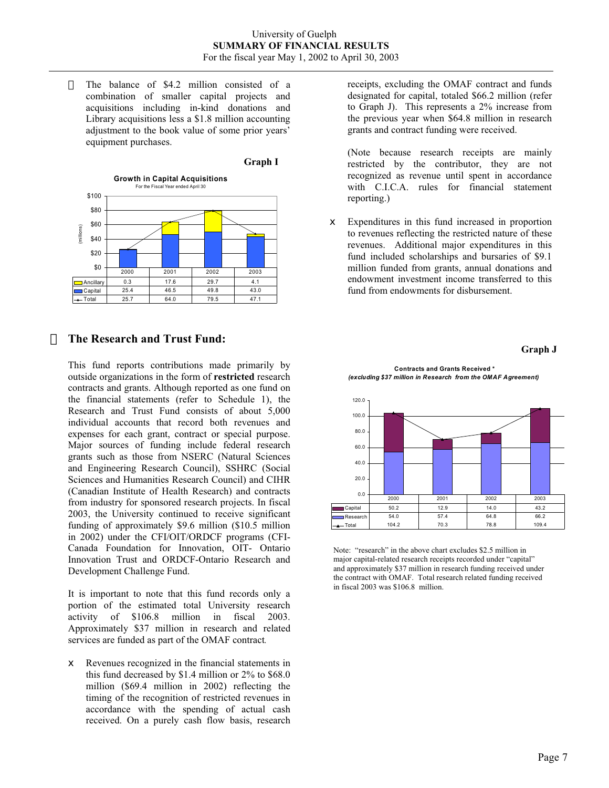The balance of \$4.2 million consisted of a combination of smaller capital projects and acquisitions including in-kind donations and Library acquisitions less a \$1.8 million accounting adjustment to the book value of some prior years' equipment purchases.



# **The Research and Trust Fund:**

This fund reports contributions made primarily by outside organizations in the form of **restricted** research contracts and grants. Although reported as one fund on the financial statements (refer to Schedule 1), the Research and Trust Fund consists of about 5,000 individual accounts that record both revenues and expenses for each grant, contract or special purpose. Major sources of funding include federal research grants such as those from NSERC (Natural Sciences and Engineering Research Council), SSHRC (Social Sciences and Humanities Research Council) and CIHR (Canadian Institute of Health Research) and contracts from industry for sponsored research projects. In fiscal 2003, the University continued to receive significant funding of approximately \$9.6 million (\$10.5 million in 2002) under the CFI/OIT/ORDCF programs (CFI-Canada Foundation for Innovation, OIT- Ontario Innovation Trust and ORDCF-Ontario Research and Development Challenge Fund.

It is important to note that this fund records only a portion of the estimated total University research activity of \$106.8 million in fiscal 2003. Approximately \$37 million in research and related services are funded as part of the OMAF contract*.* 

 $\epsilon$  Revenues recognized in the financial statements in this fund decreased by \$1.4 million or 2% to \$68.0 million (\$69.4 million in 2002) reflecting the timing of the recognition of restricted revenues in accordance with the spending of actual cash received. On a purely cash flow basis, research receipts, excluding the OMAF contract and funds designated for capital, totaled \$66.2 million (refer to Graph J). This represents a 2% increase from the previous year when \$64.8 million in research grants and contract funding were received.

(Note because research receipts are mainly restricted by the contributor, they are not recognized as revenue until spent in accordance with C.I.C.A. rules for financial statement reporting.)

 $\epsilon$  Expenditures in this fund increased in proportion to revenues reflecting the restricted nature of these revenues. Additional major expenditures in this fund included scholarships and bursaries of \$9.1 million funded from grants, annual donations and endowment investment income transferred to this fund from endowments for disbursement.



**Contracts and Grants Received \*** *(excluding \$37 million in Research from the OMAF Agreement)*



Note: "research" in the above chart excludes \$2.5 million in major capital-related research receipts recorded under "capital" and approximately \$37 million in research funding received under the contract with OMAF. Total research related funding received in fiscal 2003 was \$106.8 million.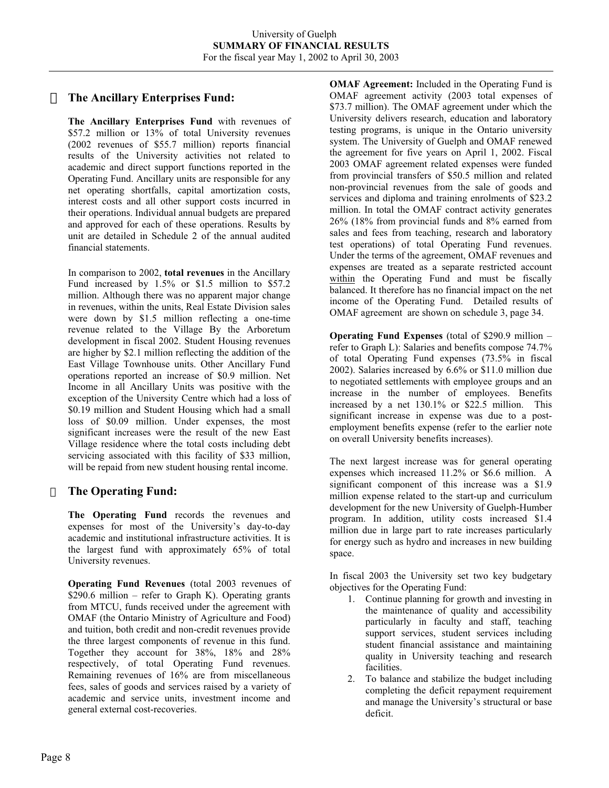# **The Ancillary Enterprises Fund:**

**The Ancillary Enterprises Fund** with revenues of \$57.2 million or 13% of total University revenues (2002 revenues of \$55.7 million) reports financial results of the University activities not related to academic and direct support functions reported in the Operating Fund. Ancillary units are responsible for any net operating shortfalls, capital amortization costs, interest costs and all other support costs incurred in their operations. Individual annual budgets are prepared and approved for each of these operations. Results by unit are detailed in Schedule 2 of the annual audited financial statements.

In comparison to 2002, **total revenues** in the Ancillary Fund increased by 1.5% or \$1.5 million to \$57.2 million. Although there was no apparent major change in revenues, within the units, Real Estate Division sales were down by \$1.5 million reflecting a one-time revenue related to the Village By the Arboretum development in fiscal 2002. Student Housing revenues are higher by \$2.1 million reflecting the addition of the East Village Townhouse units. Other Ancillary Fund operations reported an increase of \$0.9 million. Net Income in all Ancillary Units was positive with the exception of the University Centre which had a loss of \$0.19 million and Student Housing which had a small loss of \$0.09 million. Under expenses, the most significant increases were the result of the new East Village residence where the total costs including debt servicing associated with this facility of \$33 million, will be repaid from new student housing rental income.

# **The Operating Fund:**

**The Operating Fund** records the revenues and expenses for most of the University's day-to-day academic and institutional infrastructure activities. It is the largest fund with approximately 65% of total University revenues.

**Operating Fund Revenues** (total 2003 revenues of \$290.6 million – refer to Graph K). Operating grants from MTCU, funds received under the agreement with OMAF (the Ontario Ministry of Agriculture and Food) and tuition, both credit and non-credit revenues provide the three largest components of revenue in this fund. Together they account for 38%, 18% and 28% respectively, of total Operating Fund revenues. Remaining revenues of 16% are from miscellaneous fees, sales of goods and services raised by a variety of academic and service units, investment income and general external cost-recoveries.

**OMAF Agreement:** Included in the Operating Fund is OMAF agreement activity (2003 total expenses of \$73.7 million). The OMAF agreement under which the University delivers research, education and laboratory testing programs, is unique in the Ontario university system. The University of Guelph and OMAF renewed the agreement for five years on April 1, 2002. Fiscal 2003 OMAF agreement related expenses were funded from provincial transfers of \$50.5 million and related non-provincial revenues from the sale of goods and services and diploma and training enrolments of \$23.2 million. In total the OMAF contract activity generates 26% (18% from provincial funds and 8% earned from sales and fees from teaching, research and laboratory test operations) of total Operating Fund revenues. Under the terms of the agreement, OMAF revenues and expenses are treated as a separate restricted account within the Operating Fund and must be fiscally balanced. It therefore has no financial impact on the net income of the Operating Fund. Detailed results of OMAF agreement are shown on schedule 3, page 34.

**Operating Fund Expenses** (total of \$290.9 million – refer to Graph L): Salaries and benefits compose 74.7% of total Operating Fund expenses (73.5% in fiscal 2002). Salaries increased by 6.6% or \$11.0 million due to negotiated settlements with employee groups and an increase in the number of employees. Benefits increased by a net 130.1% or \$22.5 million. This significant increase in expense was due to a postemployment benefits expense (refer to the earlier note on overall University benefits increases).

The next largest increase was for general operating expenses which increased 11.2% or \$6.6 million. A significant component of this increase was a \$1.9 million expense related to the start-up and curriculum development for the new University of Guelph-Humber program. In addition, utility costs increased \$1.4 million due in large part to rate increases particularly for energy such as hydro and increases in new building space.

In fiscal 2003 the University set two key budgetary objectives for the Operating Fund:

- 1. Continue planning for growth and investing in the maintenance of quality and accessibility particularly in faculty and staff, teaching support services, student services including student financial assistance and maintaining quality in University teaching and research facilities.
- 2. To balance and stabilize the budget including completing the deficit repayment requirement and manage the University's structural or base deficit.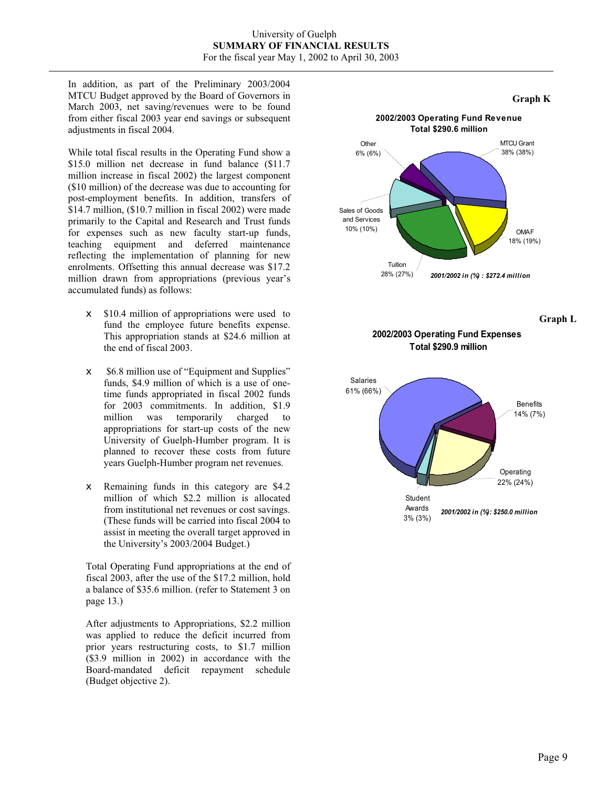In addition, as part of the Preliminary 2003/2004 MTCU Budget approved by the Board of Governors in March 2003, net saving/revenues were to be found from either fiscal 2003 year end savings or subsequent adjustments in fiscal 2004.

While total fiscal results in the Operating Fund show a \$15.0 million net decrease in fund balance (\$11.7 million increase in fiscal 2002) the largest component (\$10 million) of the decrease was due to accounting for post-employment benefits. In addition, transfers of \$14.7 million, (\$10.7 million in fiscal 2002) were made primarily to the Capital and Research and Trust funds for expenses such as new faculty start-up funds, teaching equipment and deferred maintenance reflecting the implementation of planning for new enrolments. Offsetting this annual decrease was \$17.2 million drawn from appropriations (previous year's accumulated funds) as follows:

- $\le$  \$10.4 million of appropriations were used to fund the employee future benefits expense. This appropriation stands at \$24.6 million at the end of fiscal 2003.
- $\leq$  \$6.8 million use of "Equipment and Supplies" funds, \$4.9 million of which is a use of onetime funds appropriated in fiscal 2002 funds for 2003 commitments. In addition, \$1.9 million was temporarily charged to appropriations for start-up costs of the new University of Guelph-Humber program. It is planned to recover these costs from future years Guelph-Humber program net revenues.
- $\epsilon$  Remaining funds in this category are \$4.2 million of which \$2.2 million is allocated from institutional net revenues or cost savings. (These funds will be carried into fiscal 2004 to assist in meeting the overall target approved in the University's 2003/2004 Budget.)

Total Operating Fund appropriations at the end of fiscal 2003, after the use of the \$17.2 million, hold a balance of \$35.6 million. (refer to Statement 3 on page 13.)

After adjustments to Appropriations, \$2.2 million was applied to reduce the deficit incurred from prior years restructuring costs, to \$1.7 million (\$3.9 million in 2002) in accordance with the Board-mandated deficit repayment schedule (Budget objective 2).



**Graph L** 

#### **2002/2003 Operating Fund Expenses Total \$290.9 million**

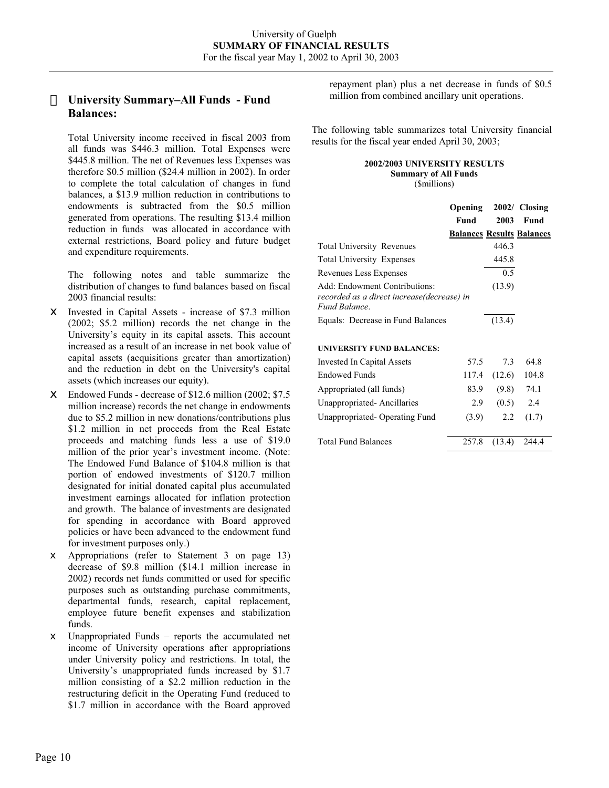# **University Summary–All Funds - Fund Balances:**

Total University income received in fiscal 2003 from all funds was \$446.3 million. Total Expenses were \$445.8 million. The net of Revenues less Expenses was therefore \$0.5 million (\$24.4 million in 2002). In order to complete the total calculation of changes in fund balances, a \$13.9 million reduction in contributions to endowments is subtracted from the \$0.5 million generated from operations. The resulting \$13.4 million reduction in funds was allocated in accordance with external restrictions, Board policy and future budget and expenditure requirements.

The following notes and table summarize the distribution of changes to fund balances based on fiscal 2003 financial results:

- $\notin$  Invested in Capital Assets increase of \$7.3 million (2002; \$5.2 million) records the net change in the University's equity in its capital assets. This account increased as a result of an increase in net book value of capital assets (acquisitions greater than amortization) and the reduction in debt on the University's capital assets (which increases our equity).
- $\text{\textsterling}$  Endowed Funds decrease of \$12.6 million (2002; \$7.5 million increase) records the net change in endowments due to \$5.2 million in new donations/contributions plus \$1.2 million in net proceeds from the Real Estate proceeds and matching funds less a use of \$19.0 million of the prior year's investment income. (Note: The Endowed Fund Balance of \$104.8 million is that portion of endowed investments of \$120.7 million designated for initial donated capital plus accumulated investment earnings allocated for inflation protection and growth. The balance of investments are designated for spending in accordance with Board approved policies or have been advanced to the endowment fund for investment purposes only.)
- $\epsilon$  Appropriations (refer to Statement 3 on page 13) decrease of \$9.8 million (\$14.1 million increase in 2002) records net funds committed or used for specific purposes such as outstanding purchase commitments, departmental funds, research, capital replacement, employee future benefit expenses and stabilization funds.
- $\neq$  Unappropriated Funds reports the accumulated net income of University operations after appropriations under University policy and restrictions. In total, the University's unappropriated funds increased by \$1.7 million consisting of a \$2.2 million reduction in the restructuring deficit in the Operating Fund (reduced to \$1.7 million in accordance with the Board approved

repayment plan) plus a net decrease in funds of \$0.5 million from combined ancillary unit operations.

The following table summarizes total University financial results for the fiscal year ended April 30, 2003;

#### **2002/2003 UNIVERSITY RESULTS**

**Summary of All Funds**  (\$millions)

|                                                             | Opening<br>Fund | 2003   | 2002/ Closing<br><b>Fund</b>     |
|-------------------------------------------------------------|-----------------|--------|----------------------------------|
|                                                             |                 |        | <b>Balances Results Balances</b> |
| <b>Total University Revenues</b>                            |                 | 446.3  |                                  |
| <b>Total University Expenses</b>                            |                 | 445.8  |                                  |
| Revenues Less Expenses                                      |                 | 0.5    |                                  |
| Add: Endowment Contributions:                               |                 | (13.9) |                                  |
| recorded as a direct increase(decrease) in<br>Fund Balance. |                 |        |                                  |
| Equals: Decrease in Fund Balances                           |                 | (13.4) |                                  |
| <b>UNIVERSITY FUND BALANCES:</b>                            |                 |        |                                  |
| Invested In Capital Assets                                  | 57.5            | 7.3    | 64.8                             |
| Endowed Funds                                               | 117.4           | (12.6) | 104.8                            |
| Appropriated (all funds)                                    | 83.9            | (9.8)  | 74.1                             |
| Unappropriated-Ancillaries                                  | 2.9             | (0.5)  | 2.4                              |
| Unappropriated-Operating Fund                               | (3.9)           | 2.2    | (1.7)                            |
| <b>Total Fund Balances</b>                                  | 257.8           | (13.4) | 244.4                            |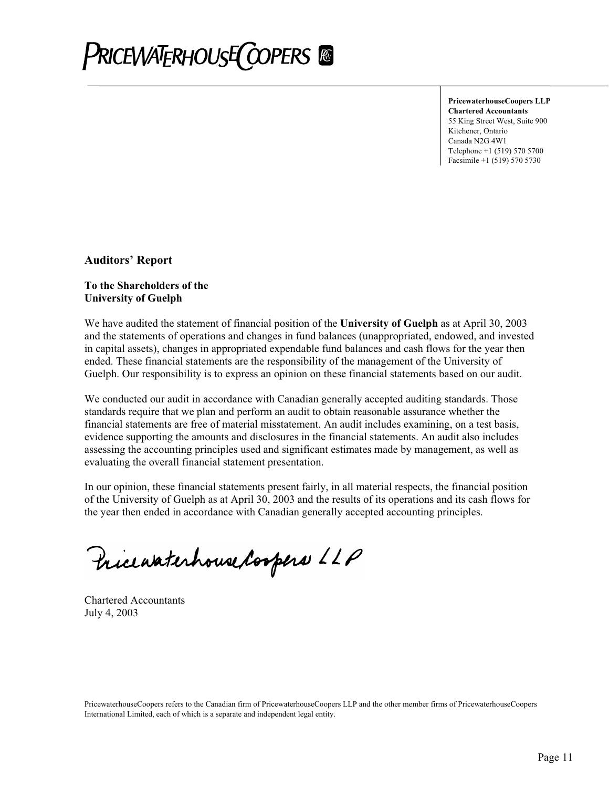# **PRICEWATERHOUSE COPERS**

**PricewaterhouseCoopers LLP Chartered Accountants**  55 King Street West, Suite 900 Kitchener, Ontario Canada N2G 4W1 Telephone +1 (519) 570 5700 Facsimile +1 (519) 570 5730

**Auditors' Report** 

# **To the Shareholders of the University of Guelph**

We have audited the statement of financial position of the **University of Guelph** as at April 30, 2003 and the statements of operations and changes in fund balances (unappropriated, endowed, and invested in capital assets), changes in appropriated expendable fund balances and cash flows for the year then ended. These financial statements are the responsibility of the management of the University of Guelph. Our responsibility is to express an opinion on these financial statements based on our audit.

We conducted our audit in accordance with Canadian generally accepted auditing standards. Those standards require that we plan and perform an audit to obtain reasonable assurance whether the financial statements are free of material misstatement. An audit includes examining, on a test basis, evidence supporting the amounts and disclosures in the financial statements. An audit also includes assessing the accounting principles used and significant estimates made by management, as well as evaluating the overall financial statement presentation.

In our opinion, these financial statements present fairly, in all material respects, the financial position of the University of Guelph as at April 30, 2003 and the results of its operations and its cash flows for the year then ended in accordance with Canadian generally accepted accounting principles.

Pricewaterhouse Coopers LLP

Chartered Accountants July 4, 2003

PricewaterhouseCoopers refers to the Canadian firm of PricewaterhouseCoopers LLP and the other member firms of PricewaterhouseCoopers International Limited, each of which is a separate and independent legal entity.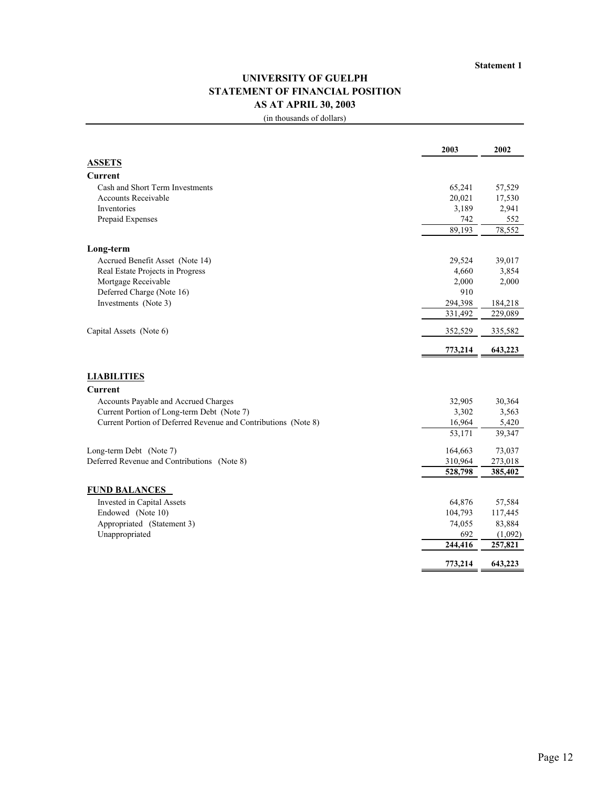# **UNIVERSITY OF GUELPH STATEMENT OF FINANCIAL POSITION AS AT APRIL 30, 2003**

|                                                                | 2003           | 2002               |
|----------------------------------------------------------------|----------------|--------------------|
| <b>ASSETS</b>                                                  |                |                    |
| <b>Current</b>                                                 |                |                    |
| Cash and Short Term Investments                                | 65,241         | 57,529             |
| <b>Accounts Receivable</b>                                     | 20,021         | 17,530             |
| Inventories                                                    | 3,189          | 2,941              |
| Prepaid Expenses                                               | 742            | 552                |
|                                                                | 89,193         | 78,552             |
| Long-term                                                      |                |                    |
| Accrued Benefit Asset (Note 14)                                | 29,524         | 39,017             |
| Real Estate Projects in Progress                               | 4,660          | 3,854              |
| Mortgage Receivable                                            | 2,000          | 2,000              |
| Deferred Charge (Note 16)                                      | 910            |                    |
| Investments (Note 3)                                           | 294,398        | 184,218            |
|                                                                | 331,492        | 229,089            |
| Capital Assets (Note 6)                                        | 352,529        | 335,582            |
|                                                                | 773,214        | 643,223            |
|                                                                |                |                    |
| <b>LIABILITIES</b>                                             |                |                    |
| <b>Current</b>                                                 |                |                    |
| Accounts Payable and Accrued Charges                           | 32,905         | 30,364             |
| Current Portion of Long-term Debt (Note 7)                     | 3,302          | 3,563              |
| Current Portion of Deferred Revenue and Contributions (Note 8) | 16,964         | 5,420              |
|                                                                | 53,171         | 39,347             |
| Long-term Debt (Note 7)                                        | 164,663        | 73,037             |
| Deferred Revenue and Contributions (Note 8)                    | 310,964        | 273,018            |
|                                                                | 528,798        | 385,402            |
|                                                                |                |                    |
| <b>FUND BALANCES</b>                                           |                |                    |
| Invested in Capital Assets                                     | 64,876         | 57,584             |
| Endowed (Note 10)                                              | 104,793        | 117,445            |
| Appropriated (Statement 3)                                     | 74,055         | 83,884             |
| Unappropriated                                                 | 692<br>244,416 | (1,092)<br>257,821 |
|                                                                |                |                    |
|                                                                | 773,214        | 643,223            |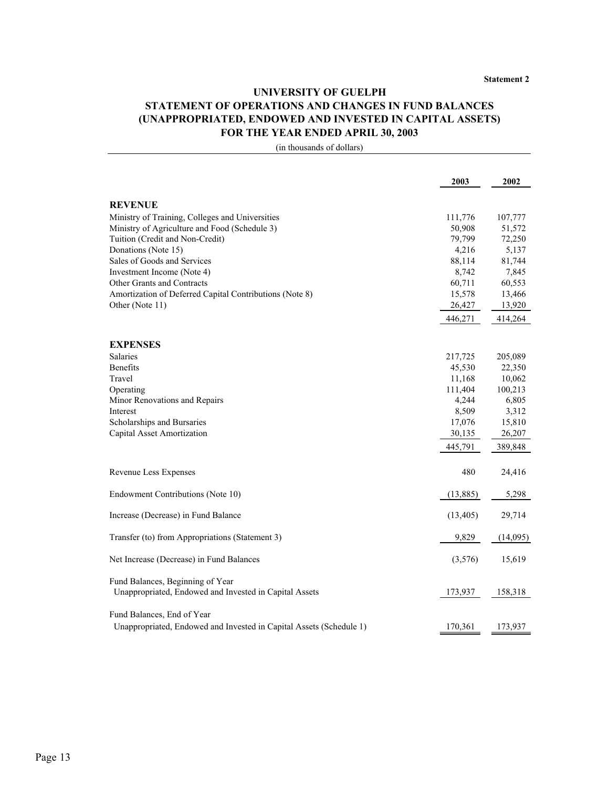# **UNIVERSITY OF GUELPH STATEMENT OF OPERATIONS AND CHANGES IN FUND BALANCES (UNAPPROPRIATED, ENDOWED AND INVESTED IN CAPITAL ASSETS) FOR THE YEAR ENDED APRIL 30, 2003**

|                                                                     | 2003      | 2002     |
|---------------------------------------------------------------------|-----------|----------|
| <b>REVENUE</b>                                                      |           |          |
| Ministry of Training, Colleges and Universities                     | 111,776   | 107,777  |
| Ministry of Agriculture and Food (Schedule 3)                       | 50,908    | 51,572   |
| Tuition (Credit and Non-Credit)                                     | 79,799    | 72,250   |
| Donations (Note 15)                                                 | 4,216     | 5,137    |
| Sales of Goods and Services                                         | 88,114    | 81,744   |
| Investment Income (Note 4)                                          | 8,742     | 7,845    |
| <b>Other Grants and Contracts</b>                                   | 60,711    | 60,553   |
| Amortization of Deferred Capital Contributions (Note 8)             | 15,578    | 13,466   |
| Other (Note 11)                                                     | 26,427    | 13,920   |
|                                                                     | 446,271   | 414,264  |
|                                                                     |           |          |
| <b>EXPENSES</b>                                                     |           |          |
| <b>Salaries</b>                                                     | 217,725   | 205,089  |
| <b>Benefits</b>                                                     | 45,530    | 22,350   |
| Travel                                                              | 11,168    | 10,062   |
| Operating                                                           | 111,404   | 100,213  |
| Minor Renovations and Repairs                                       | 4,244     | 6,805    |
| Interest                                                            | 8,509     | 3,312    |
| Scholarships and Bursaries                                          | 17,076    | 15,810   |
| Capital Asset Amortization                                          | 30,135    | 26,207   |
|                                                                     | 445,791   | 389,848  |
| Revenue Less Expenses                                               | 480       | 24,416   |
| Endowment Contributions (Note 10)                                   | (13,885)  | 5,298    |
| Increase (Decrease) in Fund Balance                                 | (13, 405) | 29,714   |
| Transfer (to) from Appropriations (Statement 3)                     | 9,829     | (14,095) |
| Net Increase (Decrease) in Fund Balances                            | (3,576)   | 15,619   |
| Fund Balances, Beginning of Year                                    |           |          |
| Unappropriated, Endowed and Invested in Capital Assets              | 173,937   | 158,318  |
| Fund Balances, End of Year                                          |           |          |
| Unappropriated, Endowed and Invested in Capital Assets (Schedule 1) | 170,361   | 173,937  |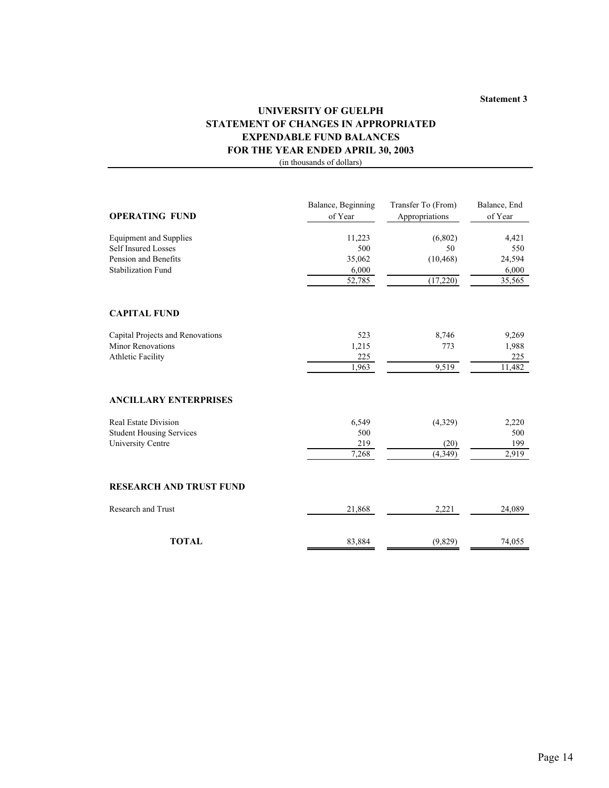#### **Statement 3**

# **UNIVERSITY OF GUELPH STATEMENT OF CHANGES IN APPROPRIATED EXPENDABLE FUND BALANCES FOR THE YEAR ENDED APRIL 30, 2003**

| <b>OPERATING FUND</b>            | Balance, Beginning<br>of Year | Transfer To (From)<br>Appropriations | Balance, End<br>of Year |
|----------------------------------|-------------------------------|--------------------------------------|-------------------------|
| <b>Equipment and Supplies</b>    | 11,223                        | (6,802)                              | 4,421                   |
| <b>Self Insured Losses</b>       | 500                           | 50                                   | 550                     |
| Pension and Benefits             | 35,062                        | (10, 468)                            | 24,594                  |
| <b>Stabilization Fund</b>        | 6,000                         |                                      | 6,000                   |
|                                  | 52,785                        | (17,220)                             | 35,565                  |
| <b>CAPITAL FUND</b>              |                               |                                      |                         |
| Capital Projects and Renovations | 523                           | 8,746                                | 9,269                   |
| <b>Minor Renovations</b>         | 1,215                         | 773                                  | 1,988                   |
| <b>Athletic Facility</b>         | 225                           |                                      | 225                     |
|                                  | 1,963                         | 9,519                                | 11,482                  |
| <b>ANCILLARY ENTERPRISES</b>     |                               |                                      |                         |
| <b>Real Estate Division</b>      | 6,549                         | (4,329)                              | 2,220                   |
| <b>Student Housing Services</b>  | 500                           |                                      | 500                     |
| University Centre                | 219                           | (20)                                 | 199                     |
|                                  | 7,268                         | (4, 349)                             | 2,919                   |
| <b>RESEARCH AND TRUST FUND</b>   |                               |                                      |                         |
| <b>Research and Trust</b>        | 21,868                        | 2,221                                | 24,089                  |
| <b>TOTAL</b>                     | 83,884                        | (9,829)                              | 74,055                  |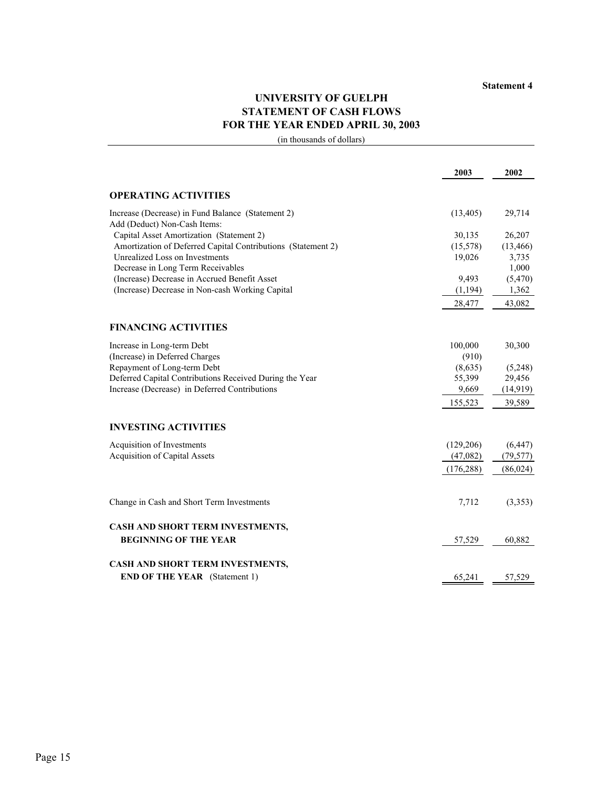# **UNIVERSITY OF GUELPH STATEMENT OF CASH FLOWS FOR THE YEAR ENDED APRIL 30, 2003**

|                                                              | 2003       | 2002      |
|--------------------------------------------------------------|------------|-----------|
| <b>OPERATING ACTIVITIES</b>                                  |            |           |
| Increase (Decrease) in Fund Balance (Statement 2)            | (13, 405)  | 29,714    |
| Add (Deduct) Non-Cash Items:                                 |            |           |
| Capital Asset Amortization (Statement 2)                     | 30,135     | 26,207    |
| Amortization of Deferred Capital Contributions (Statement 2) | (15,578)   | (13, 466) |
| Unrealized Loss on Investments                               | 19,026     | 3,735     |
| Decrease in Long Term Receivables                            |            | 1,000     |
| (Increase) Decrease in Accrued Benefit Asset                 | 9,493      | (5, 470)  |
| (Increase) Decrease in Non-cash Working Capital              | (1,194)    | 1,362     |
|                                                              | 28,477     | 43,082    |
| <b>FINANCING ACTIVITIES</b>                                  |            |           |
| Increase in Long-term Debt                                   | 100,000    | 30,300    |
| (Increase) in Deferred Charges                               | (910)      |           |
| Repayment of Long-term Debt                                  | (8,635)    | (5,248)   |
| Deferred Capital Contributions Received During the Year      | 55,399     | 29,456    |
| Increase (Decrease) in Deferred Contributions                | 9,669      | (14,919)  |
|                                                              | 155,523    | 39,589    |
|                                                              |            |           |
| <b>INVESTING ACTIVITIES</b>                                  |            |           |
| Acquisition of Investments                                   | (129, 206) | (6, 447)  |
| <b>Acquisition of Capital Assets</b>                         | (47,082)   | (79, 577) |
|                                                              | (176, 288) | (86,024)  |
|                                                              |            |           |
| Change in Cash and Short Term Investments                    | 7,712      | (3,353)   |
| CASH AND SHORT TERM INVESTMENTS,                             |            |           |
| <b>BEGINNING OF THE YEAR</b>                                 | 57,529     | 60,882    |
| CASH AND SHORT TERM INVESTMENTS,                             |            |           |
| <b>END OF THE YEAR</b> (Statement 1)                         | 65,241     | 57,529    |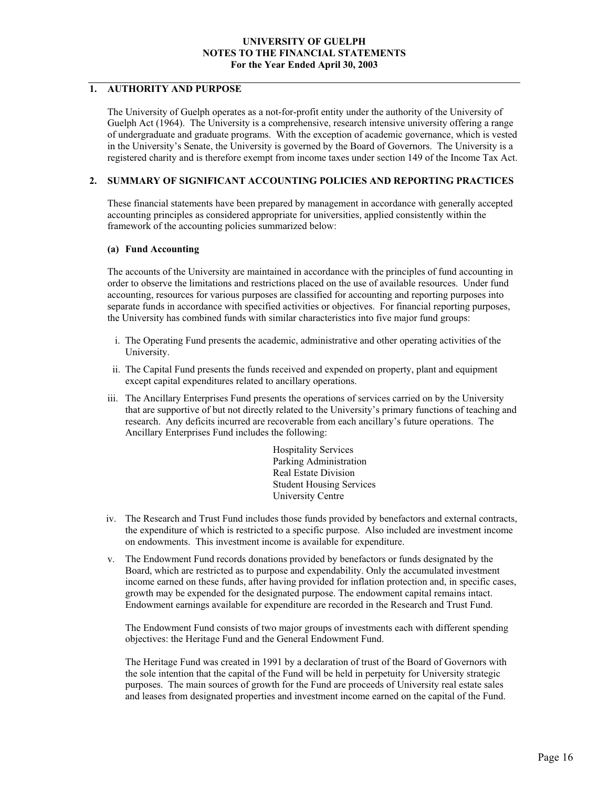# **1. AUTHORITY AND PURPOSE**

The University of Guelph operates as a not-for-profit entity under the authority of the University of Guelph Act (1964). The University is a comprehensive, research intensive university offering a range of undergraduate and graduate programs. With the exception of academic governance, which is vested in the University's Senate, the University is governed by the Board of Governors. The University is a registered charity and is therefore exempt from income taxes under section 149 of the Income Tax Act.

#### **2. SUMMARY OF SIGNIFICANT ACCOUNTING POLICIES AND REPORTING PRACTICES**

These financial statements have been prepared by management in accordance with generally accepted accounting principles as considered appropriate for universities, applied consistently within the framework of the accounting policies summarized below:

#### **(a) Fund Accounting**

The accounts of the University are maintained in accordance with the principles of fund accounting in order to observe the limitations and restrictions placed on the use of available resources. Under fund accounting, resources for various purposes are classified for accounting and reporting purposes into separate funds in accordance with specified activities or objectives. For financial reporting purposes, the University has combined funds with similar characteristics into five major fund groups:

- i. The Operating Fund presents the academic, administrative and other operating activities of the University.
- ii. The Capital Fund presents the funds received and expended on property, plant and equipment except capital expenditures related to ancillary operations.
- iii. The Ancillary Enterprises Fund presents the operations of services carried on by the University that are supportive of but not directly related to the University's primary functions of teaching and research. Any deficits incurred are recoverable from each ancillary's future operations. The Ancillary Enterprises Fund includes the following:

Hospitality Services Parking Administration Real Estate Division Student Housing Services University Centre

- iv. The Research and Trust Fund includes those funds provided by benefactors and external contracts, the expenditure of which is restricted to a specific purpose. Also included are investment income on endowments. This investment income is available for expenditure.
- v. The Endowment Fund records donations provided by benefactors or funds designated by the Board, which are restricted as to purpose and expendability. Only the accumulated investment income earned on these funds, after having provided for inflation protection and, in specific cases, growth may be expended for the designated purpose. The endowment capital remains intact. Endowment earnings available for expenditure are recorded in the Research and Trust Fund.

The Endowment Fund consists of two major groups of investments each with different spending objectives: the Heritage Fund and the General Endowment Fund.

The Heritage Fund was created in 1991 by a declaration of trust of the Board of Governors with the sole intention that the capital of the Fund will be held in perpetuity for University strategic purposes. The main sources of growth for the Fund are proceeds of University real estate sales and leases from designated properties and investment income earned on the capital of the Fund.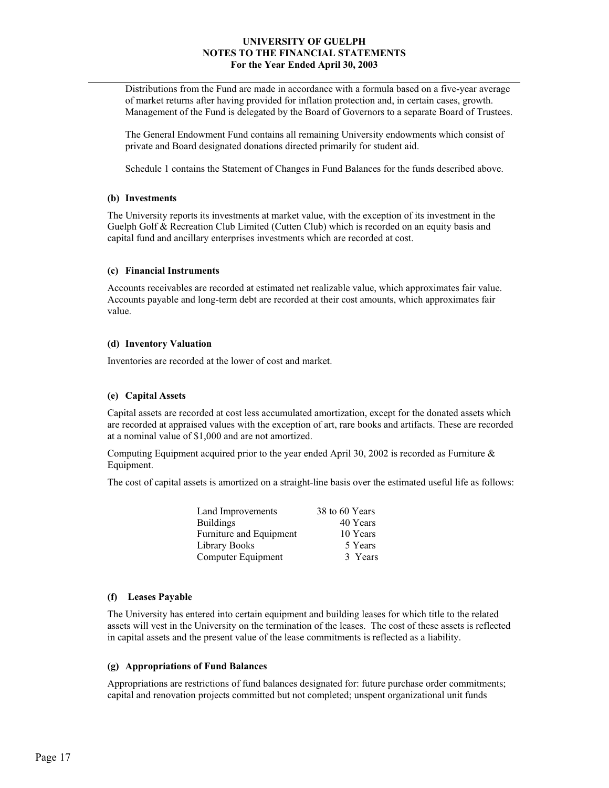Distributions from the Fund are made in accordance with a formula based on a five-year average of market returns after having provided for inflation protection and, in certain cases, growth. Management of the Fund is delegated by the Board of Governors to a separate Board of Trustees.

The General Endowment Fund contains all remaining University endowments which consist of private and Board designated donations directed primarily for student aid.

Schedule 1 contains the Statement of Changes in Fund Balances for the funds described above.

#### **(b) Investments**

The University reports its investments at market value, with the exception of its investment in the Guelph Golf & Recreation Club Limited (Cutten Club) which is recorded on an equity basis and capital fund and ancillary enterprises investments which are recorded at cost.

#### **(c) Financial Instruments**

Accounts receivables are recorded at estimated net realizable value, which approximates fair value. Accounts payable and long-term debt are recorded at their cost amounts, which approximates fair value.

#### **(d) Inventory Valuation**

Inventories are recorded at the lower of cost and market.

#### **(e) Capital Assets**

Capital assets are recorded at cost less accumulated amortization, except for the donated assets which are recorded at appraised values with the exception of art, rare books and artifacts. These are recorded at a nominal value of \$1,000 and are not amortized.

Computing Equipment acquired prior to the year ended April 30, 2002 is recorded as Furniture  $\&$ Equipment.

The cost of capital assets is amortized on a straight-line basis over the estimated useful life as follows:

| 38 to 60 Years |
|----------------|
| 40 Years       |
| 10 Years       |
| 5 Years        |
| 3 Years        |
|                |

#### **(f) Leases Payable**

The University has entered into certain equipment and building leases for which title to the related assets will vest in the University on the termination of the leases. The cost of these assets is reflected in capital assets and the present value of the lease commitments is reflected as a liability.

#### **(g) Appropriations of Fund Balances**

Appropriations are restrictions of fund balances designated for: future purchase order commitments; capital and renovation projects committed but not completed; unspent organizational unit funds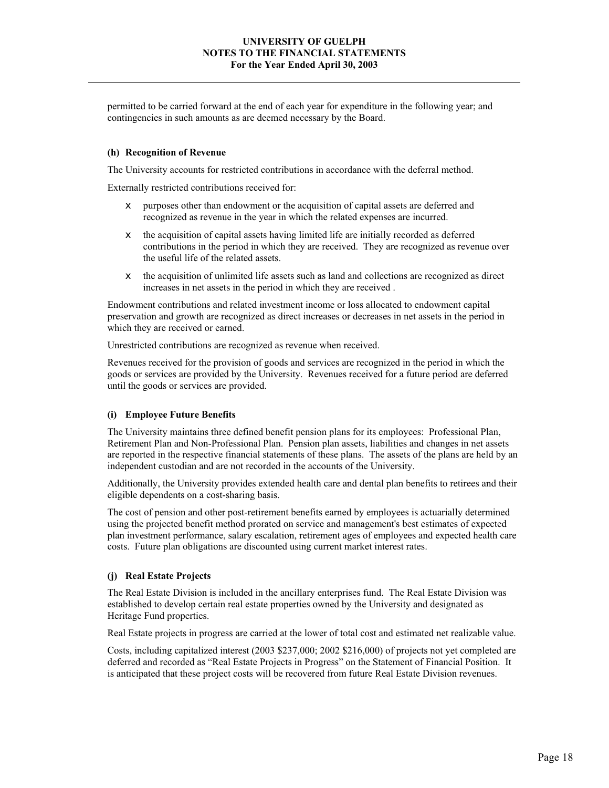permitted to be carried forward at the end of each year for expenditure in the following year; and contingencies in such amounts as are deemed necessary by the Board.

#### **(h) Recognition of Revenue**

The University accounts for restricted contributions in accordance with the deferral method.

Externally restricted contributions received for:

- $\epsilon$  purposes other than endowment or the acquisition of capital assets are deferred and recognized as revenue in the year in which the related expenses are incurred.
- $\epsilon$  the acquisition of capital assets having limited life are initially recorded as deferred contributions in the period in which they are received. They are recognized as revenue over the useful life of the related assets.
- $\neq$  the acquisition of unlimited life assets such as land and collections are recognized as direct increases in net assets in the period in which they are received .

Endowment contributions and related investment income or loss allocated to endowment capital preservation and growth are recognized as direct increases or decreases in net assets in the period in which they are received or earned.

Unrestricted contributions are recognized as revenue when received.

Revenues received for the provision of goods and services are recognized in the period in which the goods or services are provided by the University. Revenues received for a future period are deferred until the goods or services are provided.

#### **(i) Employee Future Benefits**

The University maintains three defined benefit pension plans for its employees: Professional Plan, Retirement Plan and Non-Professional Plan. Pension plan assets, liabilities and changes in net assets are reported in the respective financial statements of these plans. The assets of the plans are held by an independent custodian and are not recorded in the accounts of the University.

Additionally, the University provides extended health care and dental plan benefits to retirees and their eligible dependents on a cost-sharing basis.

The cost of pension and other post-retirement benefits earned by employees is actuarially determined using the projected benefit method prorated on service and management's best estimates of expected plan investment performance, salary escalation, retirement ages of employees and expected health care costs. Future plan obligations are discounted using current market interest rates.

#### **(j) Real Estate Projects**

The Real Estate Division is included in the ancillary enterprises fund. The Real Estate Division was established to develop certain real estate properties owned by the University and designated as Heritage Fund properties.

Real Estate projects in progress are carried at the lower of total cost and estimated net realizable value.

Costs, including capitalized interest (2003 \$237,000; 2002 \$216,000) of projects not yet completed are deferred and recorded as "Real Estate Projects in Progress" on the Statement of Financial Position. It is anticipated that these project costs will be recovered from future Real Estate Division revenues.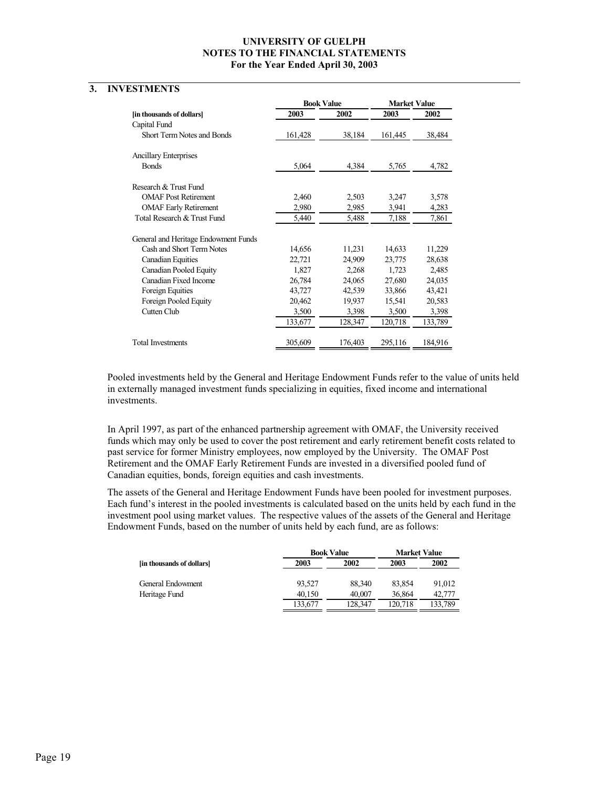# **3. INVESTMENTS**

|                                      | <b>Book Value</b> |         | <b>Market Value</b> |         |
|--------------------------------------|-------------------|---------|---------------------|---------|
| [in thousands of dollars]            | 2003              | 2002    | 2003                | 2002    |
| Capital Fund                         |                   |         |                     |         |
| <b>Short Term Notes and Bonds</b>    | 161,428           | 38,184  | 161,445             | 38,484  |
| <b>Ancillary Enterprises</b>         |                   |         |                     |         |
| <b>Bonds</b>                         | 5,064             | 4,384   | 5,765               | 4,782   |
| Research & Trust Fund                |                   |         |                     |         |
| <b>OMAF Post Retirement</b>          | 2,460             | 2,503   | 3,247               | 3,578   |
| <b>OMAF Early Retirement</b>         | 2,980             | 2,985   | 3,941               | 4,283   |
| Total Research & Trust Fund          | 5,440             | 5,488   | 7,188               | 7,861   |
| General and Heritage Endowment Funds |                   |         |                     |         |
| Cash and Short Term Notes            | 14,656            | 11,231  | 14,633              | 11,229  |
| <b>Canadian Equities</b>             | 22,721            | 24,909  | 23,775              | 28,638  |
| <b>Canadian Pooled Equity</b>        | 1,827             | 2,268   | 1,723               | 2,485   |
| Canadian Fixed Income                | 26,784            | 24,065  | 27,680              | 24,035  |
| Foreign Equities                     | 43,727            | 42,539  | 33,866              | 43,421  |
| Foreign Pooled Equity                | 20,462            | 19,937  | 15,541              | 20,583  |
| Cutten Club                          | 3,500             | 3,398   | 3,500               | 3,398   |
|                                      | 133,677           | 128,347 | 120,718             | 133,789 |
| <b>Total Investments</b>             | 305,609           | 176,403 | 295,116             | 184,916 |

Pooled investments held by the General and Heritage Endowment Funds refer to the value of units held in externally managed investment funds specializing in equities, fixed income and international investments.

In April 1997, as part of the enhanced partnership agreement with OMAF, the University received funds which may only be used to cover the post retirement and early retirement benefit costs related to past service for former Ministry employees, now employed by the University. The OMAF Post Retirement and the OMAF Early Retirement Funds are invested in a diversified pooled fund of Canadian equities, bonds, foreign equities and cash investments.

The assets of the General and Heritage Endowment Funds have been pooled for investment purposes. Each fund's interest in the pooled investments is calculated based on the units held by each fund in the investment pool using market values. The respective values of the assets of the General and Heritage Endowment Funds, based on the number of units held by each fund, are as follows:

|                           |         | <b>Book Value</b> |         | <b>Market Value</b> |
|---------------------------|---------|-------------------|---------|---------------------|
| [in thousands of dollars] | 2003    | 2002              | 2003    | 2002                |
| General Endowment         | 93.527  | 88.340            | 83.854  | 91,012              |
| Heritage Fund             | 40,150  | 40,007            | 36,864  | 42.777              |
|                           | 133.677 | 128.347           | 120.718 | 133.789             |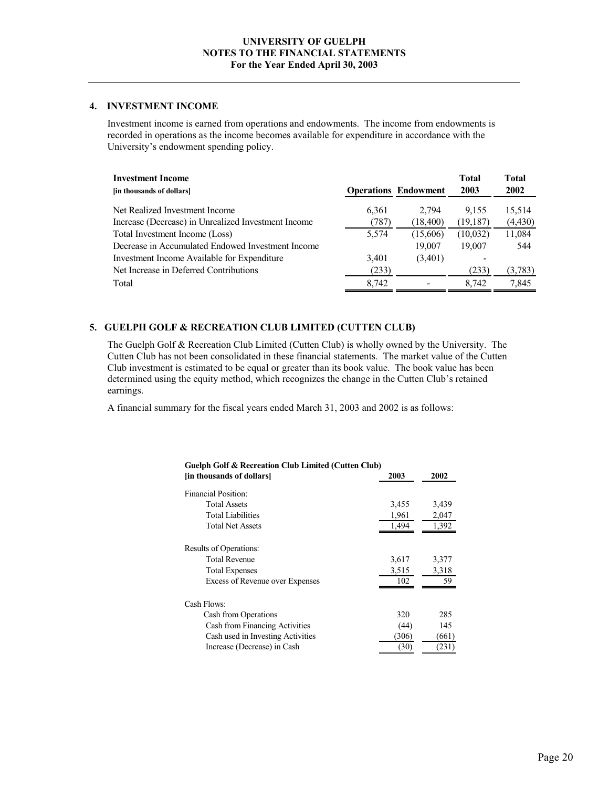#### **4. INVESTMENT INCOME**

Investment income is earned from operations and endowments. The income from endowments is recorded in operations as the income becomes available for expenditure in accordance with the University's endowment spending policy.

| <b>Investment Income</b><br>[in thousands of dollars] |       | <b>Operations Endowment</b> | <b>Total</b><br>2003 | Total<br><b>2002</b> |
|-------------------------------------------------------|-------|-----------------------------|----------------------|----------------------|
| Net Realized Investment Income                        | 6,361 | 2.794                       | 9.155                | 15,514               |
| Increase (Decrease) in Unrealized Investment Income   | (787) | (18, 400)                   | (19, 187)            | (4, 430)             |
| Total Investment Income (Loss)                        | 5.574 | (15,606)                    | (10,032)             | 11,084               |
| Decrease in Accumulated Endowed Investment Income     |       | 19.007                      | 19.007               | 544                  |
| Investment Income Available for Expenditure           | 3,401 | (3,401)                     |                      |                      |
| Net Increase in Deferred Contributions                | (233) |                             | (233)                | (3,783)              |
| Total                                                 | 8.742 |                             | 8.742                | 7,845                |

# **5. GUELPH GOLF & RECREATION CLUB LIMITED (CUTTEN CLUB)**

The Guelph Golf & Recreation Club Limited (Cutten Club) is wholly owned by the University. The Cutten Club has not been consolidated in these financial statements. The market value of the Cutten Club investment is estimated to be equal or greater than its book value. The book value has been determined using the equity method, which recognizes the change in the Cutten Club's retained earnings.

A financial summary for the fiscal years ended March 31, 2003 and 2002 is as follows:

| <b>Guelph Golf &amp; Recreation Club Limited (Cutten Club)</b> |       |       |
|----------------------------------------------------------------|-------|-------|
| [in thousands of dollars]                                      | 2003  | 2002  |
| Financial Position:                                            |       |       |
| <b>Total Assets</b>                                            | 3,455 | 3,439 |
| <b>Total Liabilities</b>                                       | 1,961 | 2,047 |
| <b>Total Net Assets</b>                                        | 1,494 | 1,392 |
| Results of Operations:                                         |       |       |
| <b>Total Revenue</b>                                           | 3,617 | 3,377 |
| <b>Total Expenses</b>                                          | 3,515 | 3,318 |
| <b>Excess of Revenue over Expenses</b>                         | 102   | 59    |
| Cash Flows:                                                    |       |       |
| Cash from Operations                                           | 320   | 285   |
| Cash from Financing Activities                                 | (44)  | 145   |
| Cash used in Investing Activities                              | (306) | (661) |
| Increase (Decrease) in Cash                                    | (30)  | (231) |
|                                                                |       |       |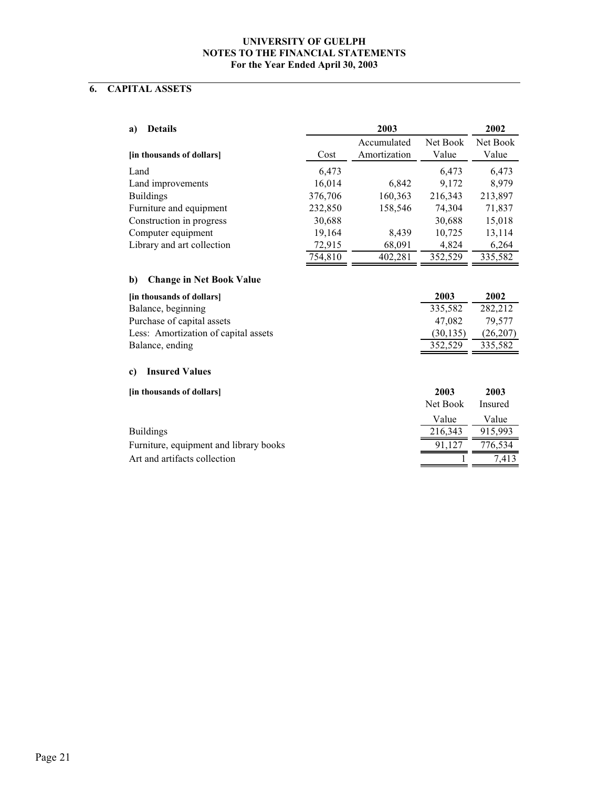# **6. CAPITAL ASSETS**

| <b>Details</b><br>a)                   |         | 2003         |           | 2002     |
|----------------------------------------|---------|--------------|-----------|----------|
|                                        |         | Accumulated  | Net Book  | Net Book |
| [in thousands of dollars]              | Cost    | Amortization | Value     | Value    |
| Land                                   | 6,473   |              | 6,473     | 6,473    |
| Land improvements                      | 16,014  | 6,842        | 9,172     | 8,979    |
| <b>Buildings</b>                       | 376,706 | 160,363      | 216,343   | 213,897  |
| Furniture and equipment                | 232,850 | 158,546      | 74,304    | 71,837   |
| Construction in progress               | 30,688  |              | 30,688    | 15,018   |
| Computer equipment                     | 19,164  | 8,439        | 10,725    | 13,114   |
| Library and art collection             | 72,915  | 68,091       | 4,824     | 6,264    |
|                                        | 754,810 | 402,281      | 352,529   | 335,582  |
| <b>Change in Net Book Value</b><br>b)  |         |              |           |          |
| [in thousands of dollars]              |         |              | 2003      | 2002     |
| Balance, beginning                     |         |              | 335,582   | 282,212  |
| Purchase of capital assets             |         |              | 47,082    | 79,577   |
| Less: Amortization of capital assets   |         |              | (30, 135) | (26,207) |
| Balance, ending                        |         |              | 352,529   | 335,582  |
| <b>Insured Values</b><br>c)            |         |              |           |          |
| [in thousands of dollars]              |         |              | 2003      | 2003     |
|                                        |         |              | Net Book  | Insured  |
|                                        |         |              | Value     | Value    |
| <b>Buildings</b>                       |         |              | 216,343   | 915,993  |
| Furniture, equipment and library books |         |              | 91,127    | 776,534  |
| Art and artifacts collection           |         |              |           | 7,413    |
|                                        |         |              |           |          |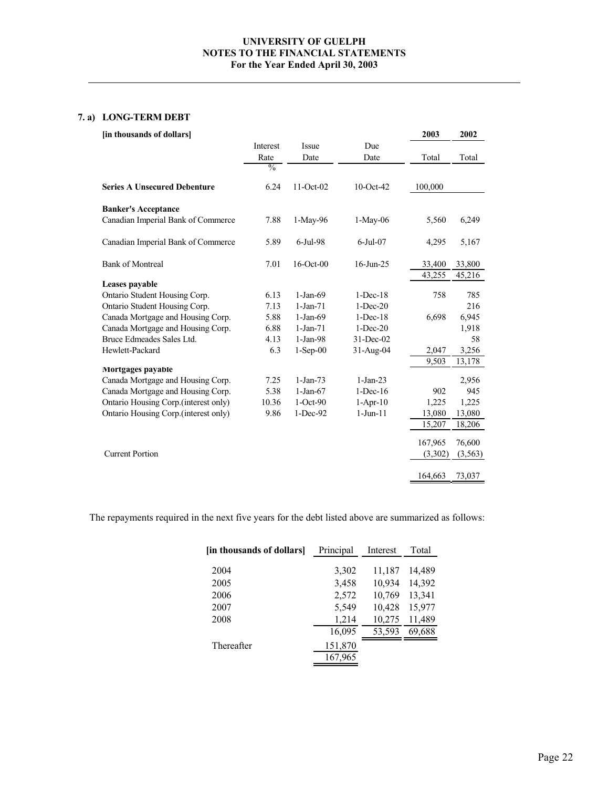# **7. a) LONG-TERM DEBT**

| [in thousands of dollars]            |               |              |              | 2003    | 2002    |
|--------------------------------------|---------------|--------------|--------------|---------|---------|
|                                      | Interest      | Issue        | Due          |         |         |
|                                      | Rate          | Date         | Date         | Total   | Total   |
|                                      | $\frac{0}{0}$ |              |              |         |         |
| <b>Series A Unsecured Debenture</b>  | 6.24          | 11-Oct-02    | $10$ -Oct-42 | 100,000 |         |
| <b>Banker's Acceptance</b>           |               |              |              |         |         |
| Canadian Imperial Bank of Commerce   | 7.88          | 1-May-96     | $1-May-06$   | 5,560   | 6,249   |
| Canadian Imperial Bank of Commerce   | 5.89          | 6-Jul-98     | $6$ -Jul-07  | 4,295   | 5,167   |
| <b>Bank of Montreal</b>              | 7.01          | $16$ -Oct-00 | $16$ -Jun-25 | 33,400  | 33,800  |
| Leases payable                       |               |              |              | 43,255  | 45,216  |
| Ontario Student Housing Corp.        | 6.13          | $1-Jan-69$   | $1-Dec-18$   | 758     | 785     |
| Ontario Student Housing Corp.        | 7.13          | $1-Jan-71$   | $1 - Dec-20$ |         | 216     |
| Canada Mortgage and Housing Corp.    | 5.88          | $1-Jan-69$   | $1-Dec-18$   | 6,698   | 6,945   |
| Canada Mortgage and Housing Corp.    | 6.88          | $1-Jan-71$   | $1-Dec-20$   |         | 1,918   |
| Bruce Edmeades Sales Ltd.            | 4.13          | $1-Jan-98$   | 31-Dec-02    |         | 58      |
| Hewlett-Packard                      | 6.3           | $1-Sep-00$   | $31-Aug-04$  | 2,047   | 3,256   |
|                                      |               |              |              | 9,503   | 13,178  |
| Mortgages payable                    |               |              |              |         |         |
| Canada Mortgage and Housing Corp.    | 7.25          | $1-Jan-73$   | $1-Jan-23$   |         | 2,956   |
| Canada Mortgage and Housing Corp.    | 5.38          | $1-Jan-67$   | $1-Dec-16$   | 902     | 945     |
| Ontario Housing Corp.(interest only) | 10.36         | $1-Oct-90$   | $1-Apr-10$   | 1,225   | 1,225   |
| Ontario Housing Corp.(interest only) | 9.86          | 1-Dec-92     | $1-Jun-11$   | 13,080  | 13,080  |
|                                      |               |              |              | 15,207  | 18,206  |
|                                      |               |              |              | 167,965 | 76,600  |
| <b>Current Portion</b>               |               |              |              | (3,302) | (3,563) |
|                                      |               |              |              | 164,663 | 73,037  |
|                                      |               |              |              |         |         |

The repayments required in the next five years for the debt listed above are summarized as follows:

| [in thousands of dollars] | Principal | Interest | Total  |
|---------------------------|-----------|----------|--------|
|                           |           |          |        |
| 2004                      | 3,302     | 11,187   | 14,489 |
| 2005                      | 3,458     | 10,934   | 14,392 |
| 2006                      | 2,572     | 10,769   | 13,341 |
| 2007                      | 5,549     | 10,428   | 15,977 |
| 2008                      | 1,214     | 10,275   | 11,489 |
|                           | 16,095    | 53,593   | 69,688 |
| Thereafter                | 151,870   |          |        |
|                           | 167,965   |          |        |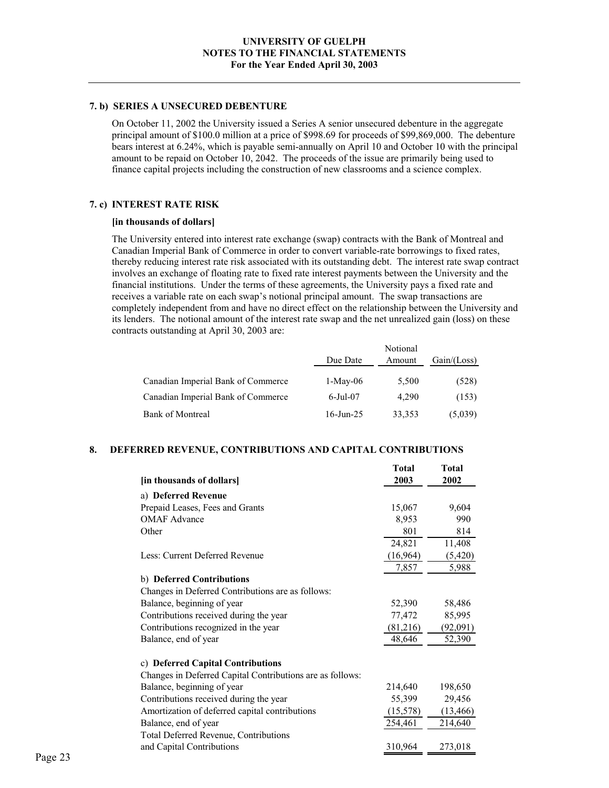#### **7. b) SERIES A UNSECURED DEBENTURE**

On October 11, 2002 the University issued a Series A senior unsecured debenture in the aggregate principal amount of \$100.0 million at a price of \$998.69 for proceeds of \$99,869,000. The debenture bears interest at 6.24%, which is payable semi-annually on April 10 and October 10 with the principal amount to be repaid on October 10, 2042. The proceeds of the issue are primarily being used to finance capital projects including the construction of new classrooms and a science complex.

#### **7. c) INTEREST RATE RISK**

#### **[in thousands of dollars]**

The University entered into interest rate exchange (swap) contracts with the Bank of Montreal and Canadian Imperial Bank of Commerce in order to convert variable-rate borrowings to fixed rates, thereby reducing interest rate risk associated with its outstanding debt. The interest rate swap contract involves an exchange of floating rate to fixed rate interest payments between the University and the financial institutions. Under the terms of these agreements, the University pays a fixed rate and receives a variable rate on each swap's notional principal amount. The swap transactions are completely independent from and have no direct effect on the relationship between the University and its lenders. The notional amount of the interest rate swap and the net unrealized gain (loss) on these contracts outstanding at April 30, 2003 are:

|                                    | Due Date     | Notional<br>Amount | Gain / (Loss) |
|------------------------------------|--------------|--------------------|---------------|
| Canadian Imperial Bank of Commerce | $1-May-06$   | 5.500              | (528)         |
| Canadian Imperial Bank of Commerce | $6$ -Jul-07  | 4.290              | (153)         |
| <b>Bank of Montreal</b>            | $16$ -Jun-25 | 33,353             | (5,039)       |

#### **8. DEFERRED REVENUE, CONTRIBUTIONS AND CAPITAL CONTRIBUTIONS**

|                                                           | <b>Total</b> | <b>Total</b> |
|-----------------------------------------------------------|--------------|--------------|
| [in thousands of dollars]                                 | 2003         | 2002         |
| a) Deferred Revenue                                       |              |              |
| Prepaid Leases, Fees and Grants                           | 15,067       | 9,604        |
| <b>OMAF</b> Advance                                       | 8,953        | 990          |
| Other                                                     | 801          | 814          |
|                                                           | 24,821       | 11,408       |
| Less: Current Deferred Revenue                            | (16,964)     | (5,420)      |
|                                                           | 7,857        | 5,988        |
| b) Deferred Contributions                                 |              |              |
| Changes in Deferred Contributions are as follows:         |              |              |
| Balance, beginning of year                                | 52,390       | 58,486       |
| Contributions received during the year                    | 77,472       | 85,995       |
| Contributions recognized in the year                      | (81,216)     | (92,091)     |
| Balance, end of year                                      | 48,646       | 52,390       |
| c) Deferred Capital Contributions                         |              |              |
| Changes in Deferred Capital Contributions are as follows: |              |              |
| Balance, beginning of year                                | 214,640      | 198,650      |
| Contributions received during the year                    | 55,399       | 29,456       |
| Amortization of deferred capital contributions            | (15,578)     | (13, 466)    |
| Balance, end of year                                      | 254,461      | 214,640      |
| Total Deferred Revenue, Contributions                     |              |              |
| and Capital Contributions                                 | 310,964      | 273,018      |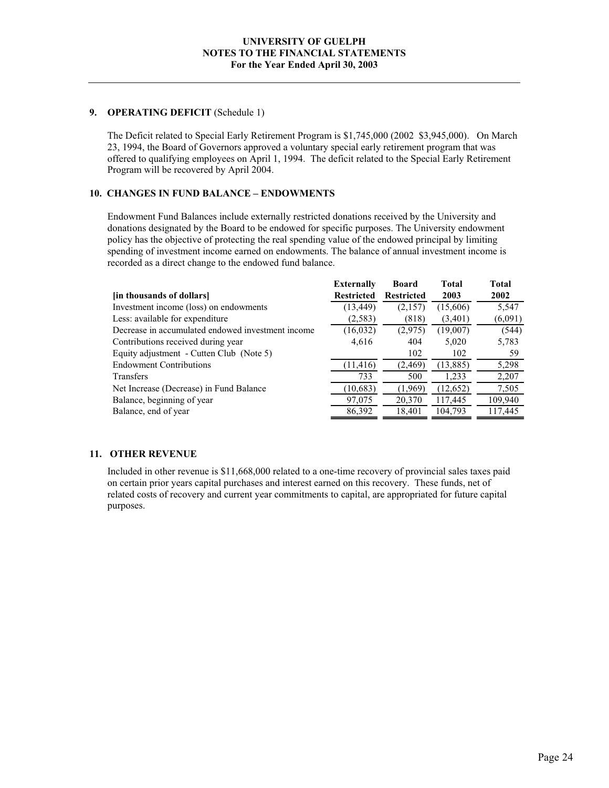#### **9. OPERATING DEFICIT** (Schedule 1)

The Deficit related to Special Early Retirement Program is \$1,745,000 (2002 \$3,945,000). On March 23, 1994, the Board of Governors approved a voluntary special early retirement program that was offered to qualifying employees on April 1, 1994. The deficit related to the Special Early Retirement Program will be recovered by April 2004.

# **10. CHANGES IN FUND BALANCE – ENDOWMENTS**

Endowment Fund Balances include externally restricted donations received by the University and donations designated by the Board to be endowed for specific purposes. The University endowment policy has the objective of protecting the real spending value of the endowed principal by limiting spending of investment income earned on endowments. The balance of annual investment income is recorded as a direct change to the endowed fund balance.

| <b>Externally</b> | <b>Board</b>      | <b>Total</b> | Total   |
|-------------------|-------------------|--------------|---------|
| <b>Restricted</b> | <b>Restricted</b> | 2003         | 2002    |
| (13, 449)         | (2,157)           | (15,606)     | 5,547   |
| (2, 583)          | (818)             | (3,401)      | (6,091) |
| (16,032)          | (2,975)           | (19,007)     | (544)   |
| 4,616             | 404               | 5,020        | 5,783   |
|                   | 102               | 102          | 59      |
| (11, 416)         | (2, 469)          | (13, 885)    | 5,298   |
| 733               | 500               | 1,233        | 2,207   |
| (10,683)          | (1,969)           | (12, 652)    | 7,505   |
| 97,075            | 20,370            | 117,445      | 109,940 |
| 86,392            | 18,401            | 104,793      | 117,445 |
|                   |                   |              |         |

# **11. OTHER REVENUE**

Included in other revenue is \$11,668,000 related to a one-time recovery of provincial sales taxes paid on certain prior years capital purchases and interest earned on this recovery. These funds, net of related costs of recovery and current year commitments to capital, are appropriated for future capital purposes.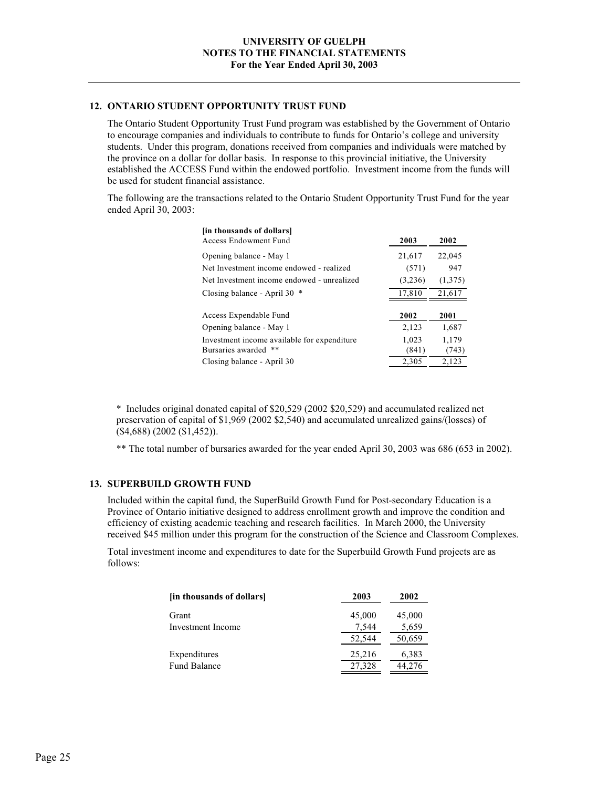#### **12. ONTARIO STUDENT OPPORTUNITY TRUST FUND**

The Ontario Student Opportunity Trust Fund program was established by the Government of Ontario to encourage companies and individuals to contribute to funds for Ontario's college and university students. Under this program, donations received from companies and individuals were matched by the province on a dollar for dollar basis. In response to this provincial initiative, the University established the ACCESS Fund within the endowed portfolio. Investment income from the funds will be used for student financial assistance.

The following are the transactions related to the Ontario Student Opportunity Trust Fund for the year ended April 30, 2003:

| [in thousands of dollars]                   |         |         |
|---------------------------------------------|---------|---------|
| Access Endowment Fund                       | 2003    | 2002    |
| Opening balance - May 1                     | 21,617  | 22,045  |
| Net Investment income endowed - realized    | (571)   | 947     |
| Net Investment income endowed - unrealized  | (3,236) | (1,375) |
| Closing balance - April 30 $*$              | 17,810  | 21,617  |
|                                             |         |         |
|                                             |         |         |
| Access Expendable Fund                      | 2002    | 2001    |
| Opening balance - May 1                     | 2,123   | 1,687   |
| Investment income available for expenditure | 1,023   | 1,179   |
| Bursaries awarded **                        | (841)   | (743)   |
| Closing balance - April 30                  | 2,305   | 2,123   |

\* Includes original donated capital of \$20,529 (2002 \$20,529) and accumulated realized net preservation of capital of \$1,969 (2002 \$2,540) and accumulated unrealized gains/(losses) of (\$4,688) (2002 (\$1,452)).

\*\* The total number of bursaries awarded for the year ended April 30, 2003 was 686 (653 in 2002).

#### **13. SUPERBUILD GROWTH FUND**

Included within the capital fund, the SuperBuild Growth Fund for Post-secondary Education is a Province of Ontario initiative designed to address enrollment growth and improve the condition and efficiency of existing academic teaching and research facilities. In March 2000, the University received \$45 million under this program for the construction of the Science and Classroom Complexes.

Total investment income and expenditures to date for the Superbuild Growth Fund projects are as follows:

| [in thousands of dollars] | 2003   | 2002   |
|---------------------------|--------|--------|
| Grant                     | 45,000 | 45,000 |
| Investment Income         | 7,544  | 5,659  |
|                           | 52,544 | 50,659 |
| Expenditures              | 25,216 | 6,383  |
| <b>Fund Balance</b>       | 27,328 | 44,276 |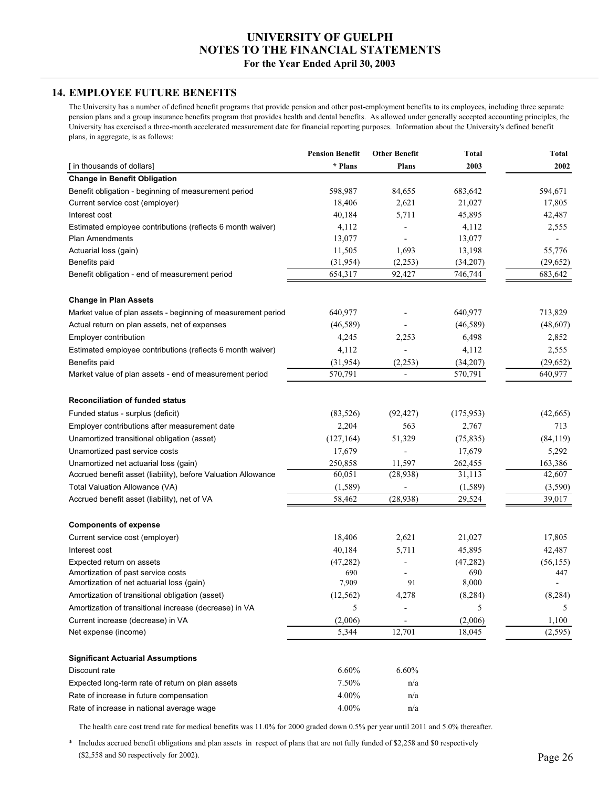# **UNIVERSITY OF GUELPH NOTES TO THE FINANCIAL STATEMENTS**

#### **For the Year Ended April 30, 2003**

# **14. EMPLOYEE FUTURE BENEFITS**

The University has a number of defined benefit programs that provide pension and other post-employment benefits to its employees, including three separate pension plans and a group insurance benefits program that provides health and dental benefits. As allowed under generally accepted accounting principles, the University has exercised a three-month accelerated measurement date for financial reporting purposes. Information about the University's defined benefit plans, in aggregate, is as follows:

|                                                               | <b>Pension Benefit</b> | <b>Other Benefit</b>     | <b>Total</b> | Total     |
|---------------------------------------------------------------|------------------------|--------------------------|--------------|-----------|
| [ in thousands of dollars]                                    | * Plans                | Plans                    | 2003         | 2002      |
| <b>Change in Benefit Obligation</b>                           |                        |                          |              |           |
| Benefit obligation - beginning of measurement period          | 598,987                | 84,655                   | 683,642      | 594,671   |
| Current service cost (employer)                               | 18,406                 | 2,621                    | 21,027       | 17,805    |
| Interest cost                                                 | 40,184                 | 5,711                    | 45,895       | 42,487    |
| Estimated employee contributions (reflects 6 month waiver)    | 4,112                  |                          | 4,112        | 2,555     |
| <b>Plan Amendments</b>                                        | 13,077                 |                          | 13,077       |           |
| Actuarial loss (gain)                                         | 11,505                 | 1,693                    | 13,198       | 55,776    |
| Benefits paid                                                 | (31,954)               | (2,253)                  | (34,207)     | (29,652)  |
| Benefit obligation - end of measurement period                | 654,317                | 92,427                   | 746,744      | 683,642   |
| <b>Change in Plan Assets</b>                                  |                        |                          |              |           |
| Market value of plan assets - beginning of measurement period | 640,977                |                          | 640,977      | 713,829   |
| Actual return on plan assets, net of expenses                 | (46,589)               |                          | (46,589)     | (48,607)  |
| Employer contribution                                         | 4,245                  | 2,253                    | 6,498        | 2,852     |
| Estimated employee contributions (reflects 6 month waiver)    | 4,112                  |                          | 4,112        | 2,555     |
| Benefits paid                                                 | (31, 954)              | (2, 253)                 | (34,207)     | (29, 652) |
| Market value of plan assets - end of measurement period       | 570,791                | $\overline{\phantom{0}}$ | 570,791      | 640,977   |
|                                                               |                        |                          |              |           |
| <b>Reconciliation of funded status</b>                        |                        |                          |              |           |
| Funded status - surplus (deficit)                             | (83, 526)              | (92, 427)                | (175, 953)   | (42,665)  |
| Employer contributions after measurement date                 | 2,204                  | 563                      | 2,767        | 713       |
| Unamortized transitional obligation (asset)                   | (127, 164)             | 51,329                   | (75, 835)    | (84, 119) |
| Unamortized past service costs                                | 17,679                 |                          | 17,679       | 5,292     |
| Unamortized net actuarial loss (gain)                         | 250,858                | 11,597                   | 262,455      | 163,386   |
| Accrued benefit asset (liability), before Valuation Allowance | 60,051                 | (28,938)                 | 31,113       | 42,607    |
| Total Valuation Allowance (VA)                                | (1, 589)               |                          | (1, 589)     | (3, 590)  |
| Accrued benefit asset (liability), net of VA                  | 58,462                 | (28, 938)                | 29,524       | 39,017    |
| <b>Components of expense</b>                                  |                        |                          |              |           |
| Current service cost (employer)                               | 18,406                 | 2,621                    | 21,027       | 17,805    |
| Interest cost                                                 | 40,184                 | 5,711                    | 45,895       | 42,487    |
| Expected return on assets                                     | (47, 282)              |                          | (47, 282)    | (56, 155) |
| Amortization of past service costs                            | 690                    |                          | 690          | 447       |
| Amortization of net actuarial loss (gain)                     | 7,909                  | 91                       | 8,000        |           |
| Amortization of transitional obligation (asset)               | (12, 562)              | 4,278                    | (8, 284)     | (8, 284)  |
| Amortization of transitional increase (decrease) in VA        | 5                      |                          | 5            | 5         |
| Current increase (decrease) in VA                             | (2,006)                |                          | (2,006)      | 1,100     |
| Net expense (income)                                          | 5,344                  | 12,701                   | 18,045       | (2,595)   |
|                                                               |                        |                          |              |           |
| <b>Significant Actuarial Assumptions</b>                      |                        |                          |              |           |
| Discount rate                                                 | 6.60%                  | 6.60%                    |              |           |
| Expected long-term rate of return on plan assets              | 7.50%                  | n/a                      |              |           |
| Rate of increase in future compensation                       | 4.00%                  | n/a                      |              |           |
| Rate of increase in national average wage                     | 4.00%                  | n/a                      |              |           |

The health care cost trend rate for medical benefits was 11.0% for 2000 graded down 0.5% per year until 2011 and 5.0% thereafter.

 (\$2,558 and \$0 respectively for 2002). \* Includes accrued benefit obligations and plan assets in respect of plans that are not fully funded of \$2,258 and \$0 respectively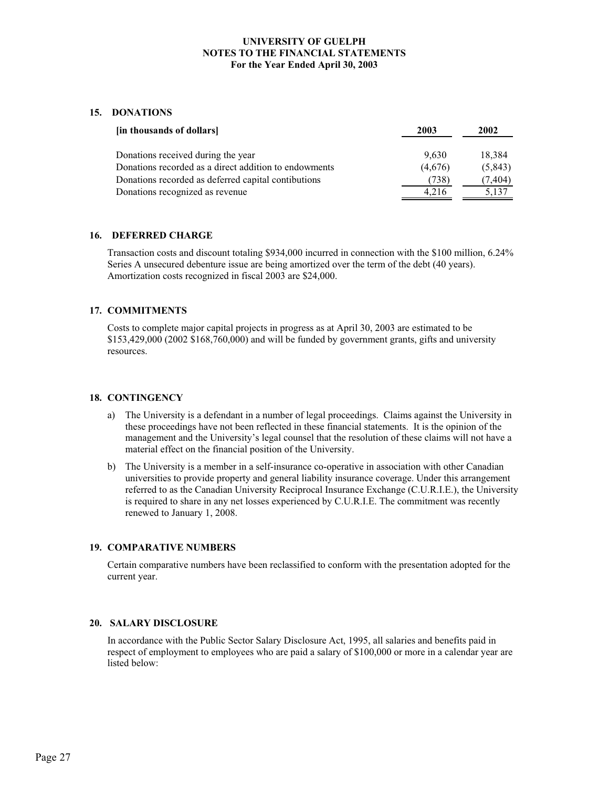#### **15. DONATIONS**

| [in thousands of dollars]                             | 2003    | 2002    |
|-------------------------------------------------------|---------|---------|
|                                                       |         |         |
| Donations received during the year                    | 9,630   | 18,384  |
| Donations recorded as a direct addition to endowments | (4,676) | (5,843) |
| Donations recorded as deferred capital contibutions   | (738)   | (7,404) |
| Donations recognized as revenue                       | 4.216   | 5,137   |

#### **16. DEFERRED CHARGE**

Transaction costs and discount totaling \$934,000 incurred in connection with the \$100 million, 6.24% Series A unsecured debenture issue are being amortized over the term of the debt (40 years). Amortization costs recognized in fiscal 2003 are \$24,000.

#### **17. COMMITMENTS**

Costs to complete major capital projects in progress as at April 30, 2003 are estimated to be \$153,429,000 (2002 \$168,760,000) and will be funded by government grants, gifts and university resources.

#### **18. CONTINGENCY**

- a) The University is a defendant in a number of legal proceedings. Claims against the University in these proceedings have not been reflected in these financial statements. It is the opinion of the management and the University's legal counsel that the resolution of these claims will not have a material effect on the financial position of the University.
- b) The University is a member in a self-insurance co-operative in association with other Canadian universities to provide property and general liability insurance coverage. Under this arrangement referred to as the Canadian University Reciprocal Insurance Exchange (C.U.R.I.E.), the University is required to share in any net losses experienced by C.U.R.I.E. The commitment was recently renewed to January 1, 2008.

#### **19. COMPARATIVE NUMBERS**

Certain comparative numbers have been reclassified to conform with the presentation adopted for the current year.

#### **20. SALARY DISCLOSURE**

In accordance with the Public Sector Salary Disclosure Act, 1995, all salaries and benefits paid in respect of employment to employees who are paid a salary of \$100,000 or more in a calendar year are listed below: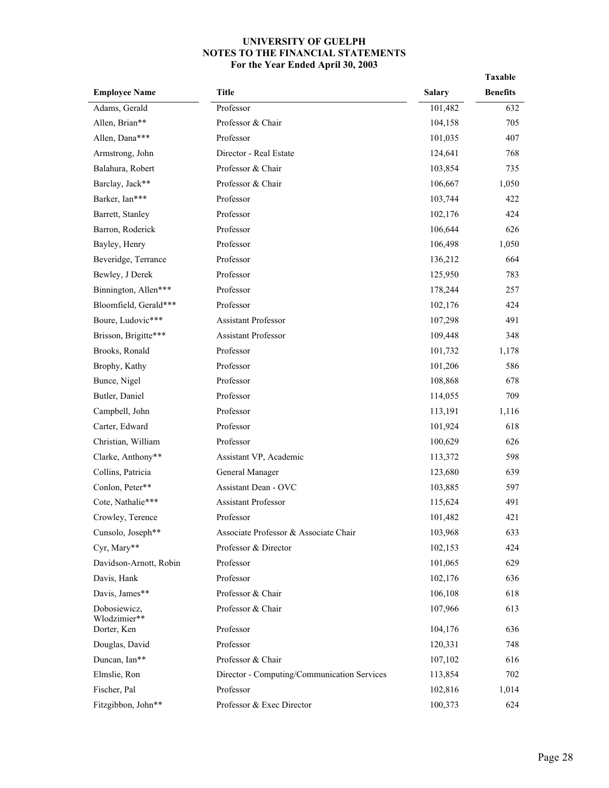|                              |                                             |               | Taxable         |
|------------------------------|---------------------------------------------|---------------|-----------------|
| <b>Employee Name</b>         | <b>Title</b>                                | <b>Salary</b> | <b>Benefits</b> |
| Adams, Gerald                | Professor                                   | 101,482       | 632             |
| Allen, Brian**               | Professor & Chair                           | 104,158       | 705             |
| Allen, Dana***               | Professor                                   | 101,035       | 407             |
| Armstrong, John              | Director - Real Estate                      | 124,641       | 768             |
| Balahura, Robert             | Professor & Chair                           | 103,854       | 735             |
| Barclay, Jack**              | Professor & Chair                           | 106,667       | 1,050           |
| Barker, Ian***               | Professor                                   | 103,744       | 422             |
| Barrett, Stanley             | Professor                                   | 102,176       | 424             |
| Barron, Roderick             | Professor                                   | 106,644       | 626             |
| Bayley, Henry                | Professor                                   | 106,498       | 1,050           |
| Beveridge, Terrance          | Professor                                   | 136,212       | 664             |
| Bewley, J Derek              | Professor                                   | 125,950       | 783             |
| Binnington, Allen***         | Professor                                   | 178,244       | 257             |
| Bloomfield, Gerald***        | Professor                                   | 102,176       | 424             |
| Boure, Ludovic***            | <b>Assistant Professor</b>                  | 107,298       | 491             |
| Brisson, Brigitte***         | Assistant Professor                         | 109,448       | 348             |
| Brooks, Ronald               | Professor                                   | 101,732       | 1,178           |
| Brophy, Kathy                | Professor                                   | 101,206       | 586             |
| Bunce, Nigel                 | Professor                                   | 108,868       | 678             |
| Butler, Daniel               | Professor                                   | 114,055       | 709             |
| Campbell, John               | Professor                                   | 113,191       | 1,116           |
| Carter, Edward               | Professor                                   | 101,924       | 618             |
| Christian, William           | Professor                                   | 100,629       | 626             |
| Clarke, Anthony**            | Assistant VP, Academic                      | 113,372       | 598             |
| Collins, Patricia            | General Manager                             | 123,680       | 639             |
| Conlon, Peter**              | Assistant Dean - OVC                        | 103,885       | 597             |
| Cote, Nathalie***            | Assistant Professor                         | 115,624       | 491             |
| Crowley, Terence             | Professor                                   | 101,482       | 421             |
| Cunsolo, Joseph**            | Associate Professor & Associate Chair       | 103,968       | 633             |
| Cyr, Mary**                  | Professor & Director                        | 102,153       | 424             |
| Davidson-Arnott, Robin       | Professor                                   | 101,065       | 629             |
| Davis, Hank                  | Professor                                   | 102,176       | 636             |
| Davis, James**               | Professor & Chair                           | 106,108       | 618             |
| Dobosiewicz,<br>Wlodzimier** | Professor & Chair                           | 107,966       | 613             |
| Dorter, Ken                  | Professor                                   | 104,176       | 636             |
| Douglas, David               | Professor                                   | 120,331       | 748             |
| Duncan, Ian**                | Professor & Chair                           | 107,102       | 616             |
| Elmslie, Ron                 | Director - Computing/Communication Services | 113,854       | 702             |
| Fischer, Pal                 | Professor                                   | 102,816       | 1,014           |
| Fitzgibbon, John**           | Professor & Exec Director                   | 100,373       | 624             |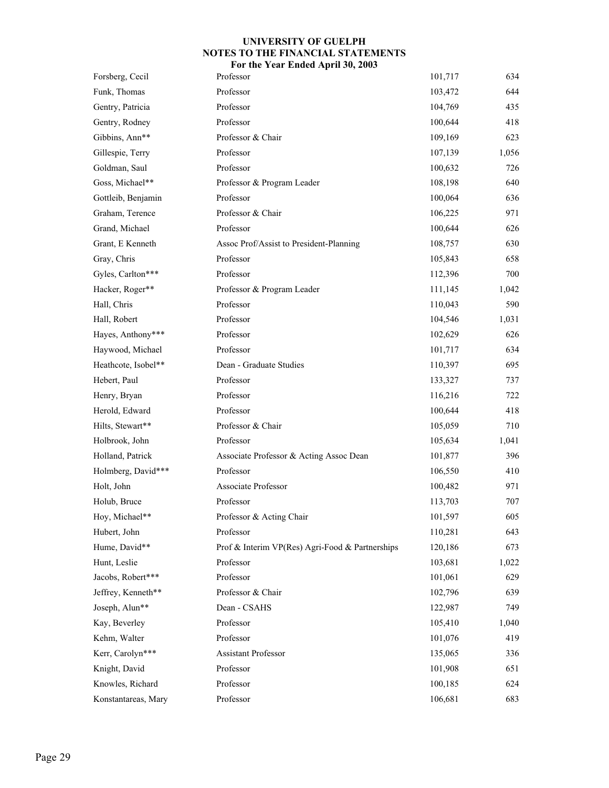| Forsberg, Cecil     | Professor                                       | 101,717 | 634   |
|---------------------|-------------------------------------------------|---------|-------|
| Funk, Thomas        | Professor                                       | 103,472 | 644   |
| Gentry, Patricia    | Professor                                       | 104,769 | 435   |
| Gentry, Rodney      | Professor                                       | 100,644 | 418   |
| Gibbins, Ann**      | Professor & Chair                               | 109,169 | 623   |
| Gillespie, Terry    | Professor                                       | 107,139 | 1,056 |
| Goldman, Saul       | Professor                                       | 100,632 | 726   |
| Goss, Michael**     | Professor & Program Leader                      | 108,198 | 640   |
| Gottleib, Benjamin  | Professor                                       | 100,064 | 636   |
| Graham, Terence     | Professor & Chair                               | 106,225 | 971   |
| Grand, Michael      | Professor                                       | 100,644 | 626   |
| Grant, E Kenneth    | Assoc Prof/Assist to President-Planning         | 108,757 | 630   |
| Gray, Chris         | Professor                                       | 105,843 | 658   |
| Gyles, Carlton***   | Professor                                       | 112,396 | 700   |
| Hacker, Roger**     | Professor & Program Leader                      | 111,145 | 1,042 |
| Hall, Chris         | Professor                                       | 110,043 | 590   |
| Hall, Robert        | Professor                                       | 104,546 | 1,031 |
| Hayes, Anthony***   | Professor                                       | 102,629 | 626   |
| Haywood, Michael    | Professor                                       | 101,717 | 634   |
| Heathcote, Isobel** | Dean - Graduate Studies                         | 110,397 | 695   |
| Hebert, Paul        | Professor                                       | 133,327 | 737   |
| Henry, Bryan        | Professor                                       | 116,216 | 722   |
| Herold, Edward      | Professor                                       | 100,644 | 418   |
| Hilts, Stewart**    | Professor & Chair                               | 105,059 | 710   |
| Holbrook, John      | Professor                                       | 105,634 | 1,041 |
| Holland, Patrick    | Associate Professor & Acting Assoc Dean         | 101,877 | 396   |
| Holmberg, David***  | Professor                                       | 106,550 | 410   |
| Holt, John          | Associate Professor                             | 100,482 | 971   |
| Holub, Bruce        | Professor                                       | 113,703 | 707   |
| Hoy, Michael**      | Professor & Acting Chair                        | 101,597 | 605   |
| Hubert, John        | Professor                                       | 110,281 | 643   |
| Hume, David**       | Prof & Interim VP(Res) Agri-Food & Partnerships | 120,186 | 673   |
| Hunt, Leslie        | Professor                                       | 103,681 | 1,022 |
| Jacobs, Robert***   | Professor                                       | 101,061 | 629   |
| Jeffrey, Kenneth**  | Professor & Chair                               | 102,796 | 639   |
| Joseph, Alun**      | Dean - CSAHS                                    | 122,987 | 749   |
| Kay, Beverley       | Professor                                       | 105,410 | 1,040 |
| Kehm, Walter        | Professor                                       | 101,076 | 419   |
| Kerr, Carolyn***    | Assistant Professor                             | 135,065 | 336   |
| Knight, David       | Professor                                       | 101,908 | 651   |
| Knowles, Richard    | Professor                                       | 100,185 | 624   |
| Konstantareas, Mary | Professor                                       | 106,681 | 683   |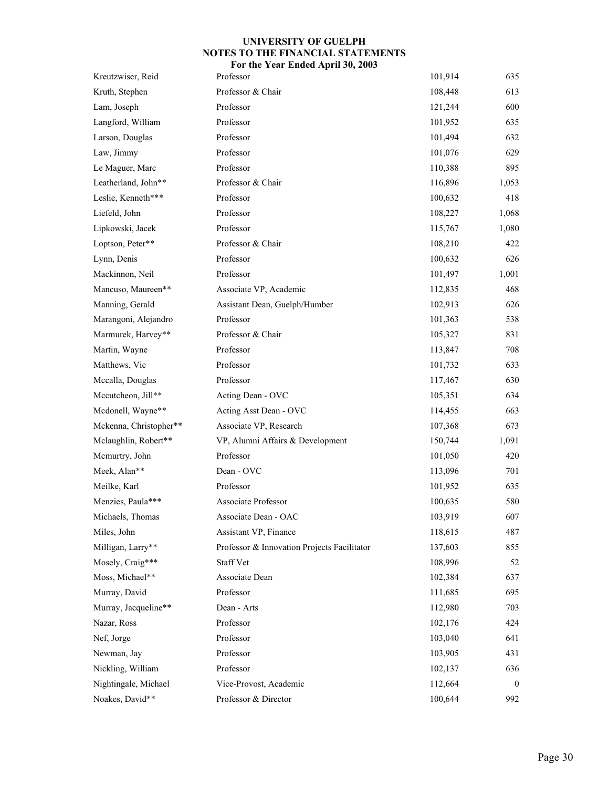| Kreutzwiser, Reid      | Professor                                   | 101,914 | 635      |
|------------------------|---------------------------------------------|---------|----------|
| Kruth, Stephen         | Professor & Chair                           | 108,448 | 613      |
| Lam, Joseph            | Professor                                   | 121,244 | 600      |
| Langford, William      | Professor                                   | 101,952 | 635      |
| Larson, Douglas        | Professor                                   | 101,494 | 632      |
| Law, Jimmy             | Professor                                   | 101,076 | 629      |
| Le Maguer, Marc        | Professor                                   | 110,388 | 895      |
| Leatherland, John**    | Professor & Chair                           | 116,896 | 1,053    |
| Leslie, Kenneth***     | Professor                                   | 100,632 | 418      |
| Liefeld, John          | Professor                                   | 108,227 | 1,068    |
| Lipkowski, Jacek       | Professor                                   | 115,767 | 1,080    |
| Loptson, Peter**       | Professor & Chair                           | 108,210 | 422      |
| Lynn, Denis            | Professor                                   | 100,632 | 626      |
| Mackinnon, Neil        | Professor                                   | 101,497 | 1,001    |
| Mancuso, Maureen**     | Associate VP, Academic                      | 112,835 | 468      |
| Manning, Gerald        | Assistant Dean, Guelph/Humber               | 102,913 | 626      |
| Marangoni, Alejandro   | Professor                                   | 101,363 | 538      |
| Marmurek, Harvey**     | Professor & Chair                           | 105,327 | 831      |
| Martin, Wayne          | Professor                                   | 113,847 | 708      |
| Matthews, Vic          | Professor                                   | 101,732 | 633      |
| Mccalla, Douglas       | Professor                                   | 117,467 | 630      |
| Mccutcheon, Jill**     | Acting Dean - OVC                           | 105,351 | 634      |
| Mcdonell, Wayne**      | Acting Asst Dean - OVC                      | 114,455 | 663      |
| Mckenna, Christopher** | Associate VP, Research                      | 107,368 | 673      |
| Mclaughlin, Robert**   | VP, Alumni Affairs & Development            | 150,744 | 1,091    |
| Mcmurtry, John         | Professor                                   | 101,050 | 420      |
| Meek, Alan**           | Dean - OVC                                  | 113,096 | 701      |
| Meilke, Karl           | Professor                                   | 101,952 | 635      |
| Menzies, Paula***      | Associate Professor                         | 100,635 | 580      |
| Michaels, Thomas       | Associate Dean - OAC                        | 103,919 | 607      |
| Miles, John            | Assistant VP, Finance                       | 118,615 | 487      |
| Milligan, Larry**      | Professor & Innovation Projects Facilitator | 137,603 | 855      |
| Mosely, Craig***       | <b>Staff Vet</b>                            | 108,996 | 52       |
| Moss, Michael**        | Associate Dean                              | 102,384 | 637      |
| Murray, David          | Professor                                   | 111,685 | 695      |
| Murray, Jacqueline**   | Dean - Arts                                 | 112,980 | 703      |
| Nazar, Ross            | Professor                                   | 102,176 | 424      |
| Nef, Jorge             | Professor                                   | 103,040 | 641      |
| Newman, Jay            | Professor                                   | 103,905 | 431      |
| Nickling, William      | Professor                                   | 102,137 | 636      |
| Nightingale, Michael   | Vice-Provost, Academic                      | 112,664 | $\bf{0}$ |
| Noakes, David**        | Professor & Director                        | 100,644 | 992      |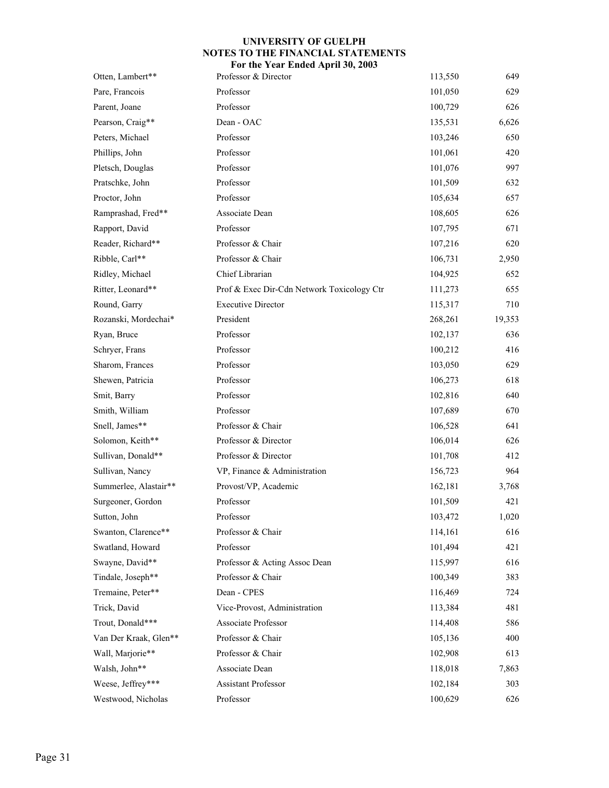| Otten, Lambert**      | Professor & Director                       | 113,550 | 649    |
|-----------------------|--------------------------------------------|---------|--------|
| Pare, Francois        | Professor                                  | 101,050 | 629    |
| Parent, Joane         | Professor                                  | 100,729 | 626    |
| Pearson, Craig**      | Dean - OAC                                 | 135,531 | 6,626  |
| Peters, Michael       | Professor                                  | 103,246 | 650    |
| Phillips, John        | Professor                                  | 101,061 | 420    |
| Pletsch, Douglas      | Professor                                  | 101,076 | 997    |
| Pratschke, John       | Professor                                  | 101,509 | 632    |
| Proctor, John         | Professor                                  | 105,634 | 657    |
| Ramprashad, Fred**    | Associate Dean                             | 108,605 | 626    |
| Rapport, David        | Professor                                  | 107,795 | 671    |
| Reader, Richard**     | Professor & Chair                          | 107,216 | 620    |
| Ribble, Carl**        | Professor & Chair                          | 106,731 | 2,950  |
| Ridley, Michael       | Chief Librarian                            | 104,925 | 652    |
| Ritter, Leonard**     | Prof & Exec Dir-Cdn Network Toxicology Ctr | 111,273 | 655    |
| Round, Garry          | <b>Executive Director</b>                  | 115,317 | 710    |
| Rozanski, Mordechai*  | President                                  | 268,261 | 19,353 |
| Ryan, Bruce           | Professor                                  | 102,137 | 636    |
| Schryer, Frans        | Professor                                  | 100,212 | 416    |
| Sharom, Frances       | Professor                                  | 103,050 | 629    |
| Shewen, Patricia      | Professor                                  | 106,273 | 618    |
| Smit, Barry           | Professor                                  | 102,816 | 640    |
| Smith, William        | Professor                                  | 107,689 | 670    |
| Snell, James**        | Professor & Chair                          | 106,528 | 641    |
| Solomon, Keith**      | Professor & Director                       | 106,014 | 626    |
| Sullivan, Donald**    | Professor & Director                       | 101,708 | 412    |
| Sullivan, Nancy       | VP, Finance & Administration               | 156,723 | 964    |
| Summerlee, Alastair** | Provost/VP, Academic                       | 162,181 | 3,768  |
| Surgeoner, Gordon     | Professor                                  | 101,509 | 421    |
| Sutton, John          | Professor                                  | 103,472 | 1,020  |
| Swanton, Clarence**   | Professor & Chair                          | 114,161 | 616    |
| Swatland, Howard      | Professor                                  | 101,494 | 421    |
| Swayne, David**       | Professor & Acting Assoc Dean              | 115,997 | 616    |
| Tindale, Joseph**     | Professor & Chair                          | 100,349 | 383    |
| Tremaine, Peter**     | Dean - CPES                                | 116,469 | 724    |
| Trick, David          | Vice-Provost, Administration               | 113,384 | 481    |
| Trout, Donald***      | <b>Associate Professor</b>                 | 114,408 | 586    |
| Van Der Kraak, Glen** | Professor & Chair                          | 105,136 | 400    |
| Wall, Marjorie**      | Professor & Chair                          | 102,908 | 613    |
| Walsh, John**         | Associate Dean                             | 118,018 | 7,863  |
| Weese, Jeffrey***     | Assistant Professor                        | 102,184 | 303    |
| Westwood, Nicholas    | Professor                                  | 100,629 | 626    |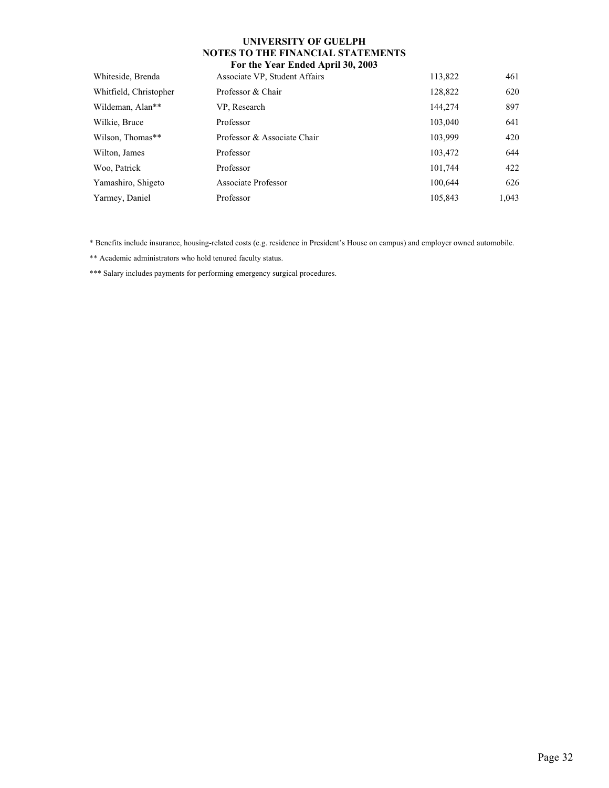| Whiteside, Brenda      | Associate VP, Student Affairs | 113,822 | 461   |
|------------------------|-------------------------------|---------|-------|
| Whitfield, Christopher | Professor & Chair             | 128,822 | 620   |
| Wildeman, Alan**       | VP, Research                  | 144,274 | 897   |
| Wilkie, Bruce          | Professor                     | 103,040 | 641   |
| Wilson, Thomas**       | Professor & Associate Chair   | 103,999 | 420   |
| Wilton, James          | Professor                     | 103,472 | 644   |
| Woo, Patrick           | Professor                     | 101,744 | 422   |
| Yamashiro, Shigeto     | Associate Professor           | 100,644 | 626   |
| Yarmey, Daniel         | Professor                     | 105,843 | 1,043 |
|                        |                               |         |       |

\* Benefits include insurance, housing-related costs (e.g. residence in President's House on campus) and employer owned automobile.

\*\* Academic administrators who hold tenured faculty status.

\*\*\* Salary includes payments for performing emergency surgical procedures.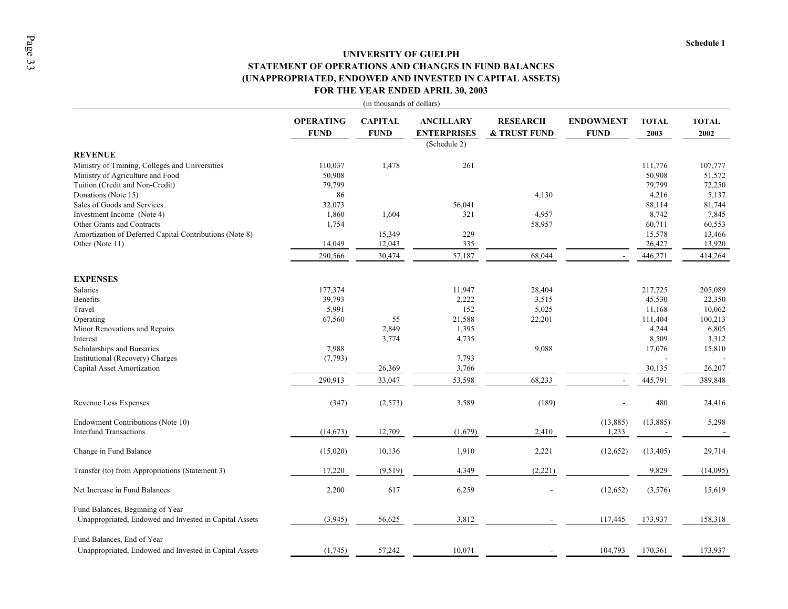# **UNIVERSITY OF GUELPHSTATEMENT OF OPERATIONS AND CHANGES IN FUND BALANCES FOR THE YEAR ENDED APRIL 30, 2003 (UNAPPROPRIATED, ENDOWED AND INVESTED IN CAPITAL ASSETS)**

|                                                                                            |                                 | (in thousands of dollars)     |                                                        |                                 |                                 |                      |                      |
|--------------------------------------------------------------------------------------------|---------------------------------|-------------------------------|--------------------------------------------------------|---------------------------------|---------------------------------|----------------------|----------------------|
|                                                                                            | <b>OPERATING</b><br><b>FUND</b> | <b>CAPITAL</b><br><b>FUND</b> | <b>ANCILLARY</b><br><b>ENTERPRISES</b><br>(Schedule 2) | <b>RESEARCH</b><br>& TRUST FUND | <b>ENDOWMENT</b><br><b>FUND</b> | <b>TOTAL</b><br>2003 | <b>TOTAL</b><br>2002 |
| <b>REVENUE</b>                                                                             |                                 |                               |                                                        |                                 |                                 |                      |                      |
| Ministry of Training, Colleges and Universities                                            | 110,037                         | 1,478                         | 261                                                    |                                 |                                 | 111,776              | 107,777              |
| Ministry of Agriculture and Food                                                           | 50,908                          |                               |                                                        |                                 |                                 | 50,908               | 51,572               |
| Tuition (Credit and Non-Credit)                                                            | 79,799                          |                               |                                                        |                                 |                                 | 79,799               | 72,250               |
| Donations (Note 15)                                                                        | 86                              |                               |                                                        | 4,130                           |                                 | 4,216                | 5,137                |
| Sales of Goods and Services                                                                | 32,073                          |                               | 56,041                                                 |                                 |                                 | 88,114               | 81,744               |
| Investment Income (Note 4)                                                                 | 1,860                           | 1,604                         | 321                                                    | 4,957                           |                                 | 8,742                | 7,845                |
| Other Grants and Contracts                                                                 | 1,754                           |                               |                                                        | 58,957                          |                                 | 60,711               | 60,553               |
| Amortization of Deferred Capital Contributions (Note 8)                                    |                                 | 15,349                        | 229                                                    |                                 |                                 | 15,578               | 13,466               |
| Other (Note 11)                                                                            | 14,049                          | 12,043                        | 335                                                    |                                 |                                 | 26,427               | 13,920               |
|                                                                                            | 290,566                         | 30,474                        | 57,187                                                 | 68,044                          |                                 | 446,271              | 414,264              |
| <b>EXPENSES</b>                                                                            |                                 |                               |                                                        |                                 |                                 |                      |                      |
| <b>Salaries</b>                                                                            | 177,374                         |                               | 11,947                                                 | 28,404                          |                                 | 217,725              | 205,089              |
| <b>Benefits</b>                                                                            | 39,793                          |                               | 2,222                                                  | 3,515                           |                                 | 45,530               | 22,350               |
| Travel                                                                                     | 5,991                           |                               | 152                                                    | 5,025                           |                                 | 11,168               | 10,062               |
| Operating                                                                                  | 67,560                          | 55                            | 21,588                                                 | 22,201                          |                                 | 111,404              | 100,213              |
| Minor Renovations and Repairs                                                              |                                 | 2,849                         | 1,395                                                  |                                 |                                 | 4,244                | 6,805                |
| Interest                                                                                   |                                 | 3,774                         | 4,735                                                  |                                 |                                 | 8,509                | 3,312                |
| Scholarships and Bursaries                                                                 | 7,988                           |                               |                                                        | 9,088                           |                                 | 17,076               | 15,810               |
| Institutional (Recovery) Charges                                                           | (7, 793)                        |                               | 7,793                                                  |                                 |                                 |                      |                      |
| Capital Asset Amortization                                                                 |                                 | 26,369                        | 3,766                                                  |                                 |                                 | 30,135               | 26,207               |
|                                                                                            | 290,913                         | 33,047                        | 53,598                                                 | 68,233                          |                                 | 445,791              | 389,848              |
| Revenue Less Expenses                                                                      | (347)                           | (2,573)                       | 3,589                                                  | (189)                           |                                 | 480                  | 24,416               |
| Endowment Contributions (Note 10)                                                          |                                 |                               |                                                        |                                 | (13,885)                        | (13,885)             | 5,298                |
| <b>Interfund Transactions</b>                                                              | (14, 673)                       | 12,709                        | (1,679)                                                | 2,410                           | 1,233                           |                      |                      |
| Change in Fund Balance                                                                     | (15,020)                        | 10,136                        | 1,910                                                  | 2,221                           | (12, 652)                       | (13, 405)            | 29,714               |
| Transfer (to) from Appropriations (Statement 3)                                            | 17,220                          | (9,519)                       | 4,349                                                  | (2,221)                         |                                 | 9,829                | (14,095)             |
| Net Increase in Fund Balances                                                              | 2,200                           | 617                           | 6,259                                                  |                                 | (12, 652)                       | (3,576)              | 15,619               |
| Fund Balances, Beginning of Year<br>Unappropriated, Endowed and Invested in Capital Assets | (3,945)                         | 56,625                        | 3,812                                                  |                                 | 117,445                         | 173,937              | 158,318              |
| Fund Balances, End of Year<br>Unappropriated, Endowed and Invested in Capital Assets       | (1,745)                         | 57,242                        | 10,071                                                 |                                 | 104,793                         | 170,361              | 173,937              |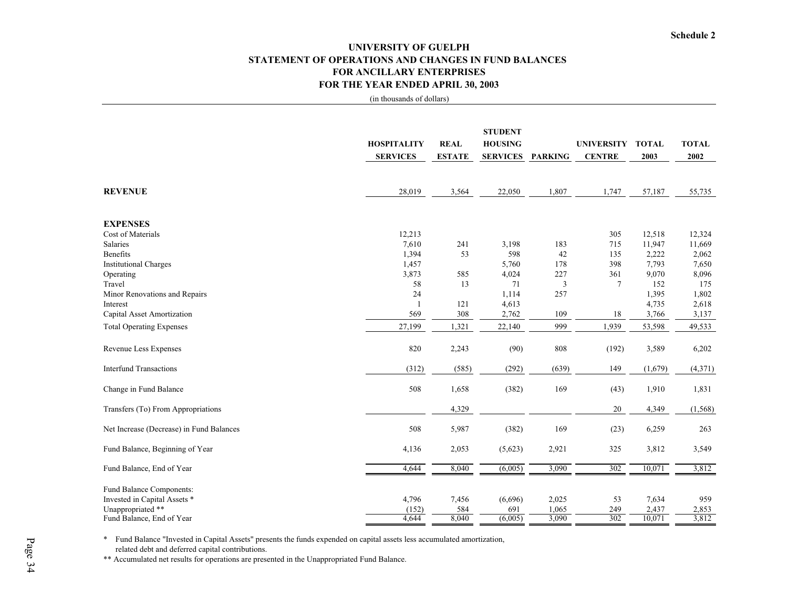# **UNIVERSITY OF GUELPH STATEMENT OF OPERATIONS AND CHANGES IN FUND BALANCES FOR ANCILLARY ENTERPRISESFOR THE YEAR ENDED APRIL 30, 2003**

(in thousands of dollars)

|                                          | <b>HOSPITALITY</b> | <b>REAL</b>   | <b>STUDENT</b><br><b>HOUSING</b> |                | <b>UNIVERSITY</b> | <b>TOTAL</b>   | <b>TOTAL</b>   |
|------------------------------------------|--------------------|---------------|----------------------------------|----------------|-------------------|----------------|----------------|
|                                          | <b>SERVICES</b>    | <b>ESTATE</b> | <b>SERVICES</b>                  | <b>PARKING</b> | <b>CENTRE</b>     | 2003           | 2002           |
|                                          |                    |               |                                  |                |                   |                |                |
| <b>REVENUE</b>                           | 28,019             | 3,564         | 22,050                           | 1,807          | 1,747             | 57,187         | 55,735         |
| <b>EXPENSES</b>                          |                    |               |                                  |                |                   |                |                |
| Cost of Materials                        | 12,213             |               |                                  |                | 305               | 12,518         | 12,324         |
| Salaries                                 | 7,610              | 241           | 3,198                            | 183            | 715               | 11,947         | 11,669         |
| <b>Benefits</b>                          | 1,394              | 53            | 598                              | 42             | 135               | 2,222          | 2,062          |
| <b>Institutional Charges</b>             | 1,457              |               | 5,760                            | 178            | 398               | 7,793          | 7,650          |
| Operating                                | 3,873              | 585           | 4,024                            | 227            | 361               | 9,070          | 8,096          |
| Travel                                   | 58                 | 13            | 71                               | $\mathfrak{Z}$ | 7                 | 152            | 175            |
| Minor Renovations and Repairs            | 24                 |               | 1,114                            | 257            |                   | 1,395          | 1,802          |
| Interest<br>Capital Asset Amortization   | 569                | 121<br>308    | 4,613<br>2,762                   | 109            | 18                | 4,735<br>3,766 | 2,618<br>3,137 |
|                                          |                    |               |                                  |                |                   |                |                |
| <b>Total Operating Expenses</b>          | 27,199             | 1,321         | 22,140                           | 999            | 1,939             | 53,598         | 49,533         |
| Revenue Less Expenses                    | 820                | 2,243         | (90)                             | 808            | (192)             | 3,589          | 6,202          |
| <b>Interfund Transactions</b>            | (312)              | (585)         | (292)                            | (639)          | 149               | (1,679)        | (4, 371)       |
| Change in Fund Balance                   | 508                | 1,658         | (382)                            | 169            | (43)              | 1,910          | 1,831          |
| Transfers (To) From Appropriations       |                    | 4,329         |                                  |                | 20                | 4,349          | (1, 568)       |
| Net Increase (Decrease) in Fund Balances | 508                | 5,987         | (382)                            | 169            | (23)              | 6,259          | 263            |
| Fund Balance, Beginning of Year          | 4,136              | 2,053         | (5,623)                          | 2,921          | 325               | 3,812          | 3,549          |
| Fund Balance, End of Year                | 4,644              | 8,040         | (6,005)                          | 3,090          | 302               | 10,071         | 3,812          |
| Fund Balance Components:                 |                    |               |                                  |                |                   |                |                |
| Invested in Capital Assets *             | 4,796              | 7,456         | (6,696)                          | 2,025          | 53                | 7,634          | 959            |
| Unappropriated **                        | (152)              | 584           | 691                              | 1,065          | 249               | 2,437          | 2,853          |
| Fund Balance, End of Year                | 4.644              | 8,040         | (6,005)                          | 3,090          | 302               | 10,071         | 3,812          |

\* Fund Balance "Invested in Capital Assets" presents the funds expended on capital assets less accumulated amortization, related debt and deferred capital contributions.

\*\* Accumulated net results for operations are presented in the Unappropriated Fund Balance.